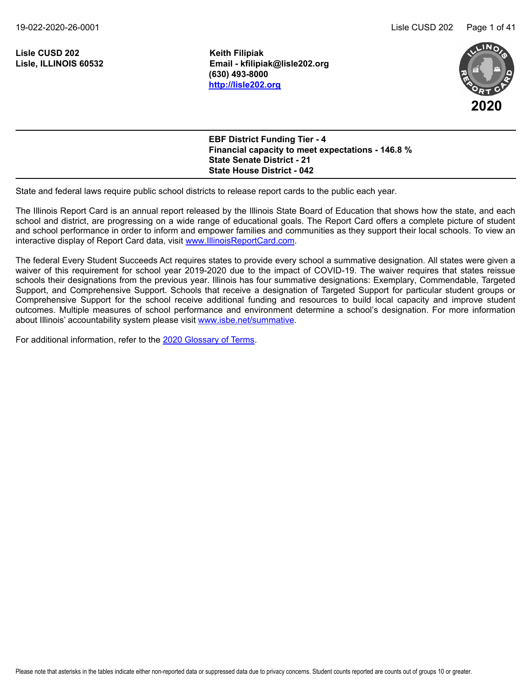19-022-2020-26-0001 Lisle CUSD 202 Page 1 of 41

**Lisle CUSD 202 Keith Filipiak**

**Lisle, ILLINOIS 60532 Email - kfilipiak@lisle202.org (630) 493-8000 <http://lisle202.org>**



**EBF District Funding Tier - 4 Financial capacity to meet expectations - 146.8 % State Senate District - 21 State House District - 042**

State and federal laws require public school districts to release report cards to the public each year.

The Illinois Report Card is an annual report released by the Illinois State Board of Education that shows how the state, and each school and district, are progressing on a wide range of educational goals. The Report Card offers a complete picture of student and school performance in order to inform and empower families and communities as they support their local schools. To view an interactive display of Report Card data, visit [www.IllinoisReportCard.com](https://www.illinoisreportcard.com/).

The federal Every Student Succeeds Act requires states to provide every school a summative designation. All states were given a waiver of this requirement for school year 2019-2020 due to the impact of COVID-19. The waiver requires that states reissue schools their designations from the previous year. Illinois has four summative designations: Exemplary, Commendable, Targeted Support, and Comprehensive Support. Schools that receive a designation of Targeted Support for particular student groups or Comprehensive Support for the school receive additional funding and resources to build local capacity and improve student outcomes. Multiple measures of school performance and environment determine a school's designation. For more information about Illinois' accountability system please visi[t www.isbe.net/summative](https://www.isbe.net/summative).

For additional information, refer to th[e 2020 Glossary of Terms](https://www.isbe.net/Documents/2020-Glossary-of-Terms.pdf).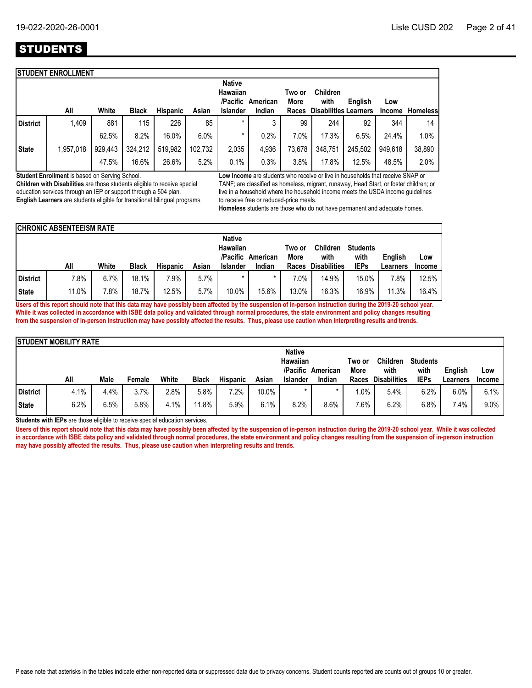# **STUDENTS**

|                 | <b>ISTUDENT ENROLLMENT</b> |         |              |          |         |                           |                   |                |                              |         |               |                 |
|-----------------|----------------------------|---------|--------------|----------|---------|---------------------------|-------------------|----------------|------------------------------|---------|---------------|-----------------|
|                 |                            |         |              |          |         | <b>Native</b><br>Hawaiian | /Pacific American | Two or<br>More | <b>Children</b><br>with      | English | Low           |                 |
|                 | All                        | White   | <b>Black</b> | Hispanic | Asian   | <b>Islander</b>           | Indian            | Races          | <b>Disabilities Learners</b> |         | <b>Income</b> | <b>Homeless</b> |
| <b>District</b> | 1,409                      | 881     | 115          | 226      | 85      | $\star$                   | 3                 | 99             | 244                          | 92      | 344           | 14              |
|                 |                            | 62.5%   | 8.2%         | 16.0%    | 6.0%    | *                         | 0.2%              | 7.0%           | 17.3%                        | 6.5%    | 24.4%         | 1.0%            |
| <b>State</b>    | 1,957,018                  | 929,443 | 324,212      | 519,982  | 102,732 | 2,035                     | 4.936             | 73,678         | 348,751                      | 245,502 | 949.618       | 38,890          |
|                 |                            | 47.5%   | 16.6%        | 26.6%    | 5.2%    | 0.1%                      | 0.3%              | 3.8%           | 17.8%                        | 12.5%   | 48.5%         | 2.0%            |
|                 |                            |         |              |          |         |                           |                   |                |                              |         |               |                 |

**Student Enrollment** is based on Serving School.

**Children with Disabilities** are those students eligible to receive special education services through an IEP or support through a 504 plan. **English Learners** are students eligible for transitional bilingual programs. **Low Income** are students who receive or live in households that receive SNAP or TANF; are classified as homeless, migrant, runaway, Head Start, or foster children; or live in a household where the household income meets the USDA income guidelines to receive free or reduced-price meals.

**Homeless** students are those who do not have permanent and adequate homes.

|          | <b>ICHRONIC ABSENTEEISM RATE</b> |       |              |                 |       |                                       |          |                |                         |                         |                |               |
|----------|----------------------------------|-------|--------------|-----------------|-------|---------------------------------------|----------|----------------|-------------------------|-------------------------|----------------|---------------|
|          |                                  |       |              |                 |       | <b>Native</b><br>Hawaiian<br>/Pacific | American | Two or<br>More | <b>Children</b><br>with | <b>Students</b><br>with | <b>Enalish</b> | Low           |
|          | All                              | White | <b>Black</b> | <b>Hispanic</b> | Asian | <b>Islander</b>                       | Indian   | Races          | <b>Disabilities</b>     | <b>IEPs</b>             | Learners       | <b>Income</b> |
| District | 7.8%                             | 6.7%  | 18.1%        | $.9\%$          | 5.7%  |                                       |          | $7.0\%$        | 14.9%                   | 15.0%                   | 7.8%           | 12.5%         |
| State    | 11.0%                            | 7.8%  | 18.7%        | 12.5%           | 5.7%  | 10.0%                                 | 15.6%    | 13.0%          | 16.3%                   | 16.9%                   | 11.3%          | 16.4%         |

**Users of this report should note that this data may have possibly been affected by the suspension of in-person instruction during the 2019-20 school year. While it was collected in accordance with ISBE data policy and validated through normal procedures, the state environment and policy changes resulting from the suspension of in-person instruction may have possibly affected the results. Thus, please use caution when interpreting results and trends.**

|              | <b>ISTUDENT MOBILITY RATE</b> |      |        |       |              |                 |       |                                              |          |                |                     |                         |          |               |
|--------------|-------------------------------|------|--------|-------|--------------|-----------------|-------|----------------------------------------------|----------|----------------|---------------------|-------------------------|----------|---------------|
|              |                               |      |        |       |              |                 |       | <b>Native</b><br><b>Hawaiian</b><br>/Pacific | American | Two or<br>More | Children<br>with    | <b>Students</b><br>with | English  | Low           |
|              | All                           | Male | Female | White | <b>Black</b> | <b>Hispanic</b> | Asian | <b>Islander</b>                              | Indian   | Races          | <b>Disabilities</b> | <b>IEPs</b>             | Learners | <b>Income</b> |
| District     | 4.1%                          | 4.4% | 3.7%   | 2.8%  | 5.8%         | 7.2%            | 10.0% |                                              |          | $1.0\%$        | 5.4%                | 6.2%                    | 6.0%     | 6.1%          |
| <b>State</b> | 6.2%                          | 6.5% | 5.8%   | 4.1%  | 1.8%         | 5.9%            | 6.1%  | 8.2%                                         | 8.6%     | 7.6%           | 6.2%                | 6.8%                    | 7.4%     | 9.0%          |

**Students with IEPs** are those eligible to receive special education services.

Users of this report should note that this data may have possibly been affected by the suspension of in-person instruction during the 2019-20 school year. While it was collected **in accordance with ISBE data policy and validated through normal procedures, the state environment and policy changes resulting from the suspension of in-person instruction may have possibly affected the results. Thus, please use caution when interpreting results and trends.**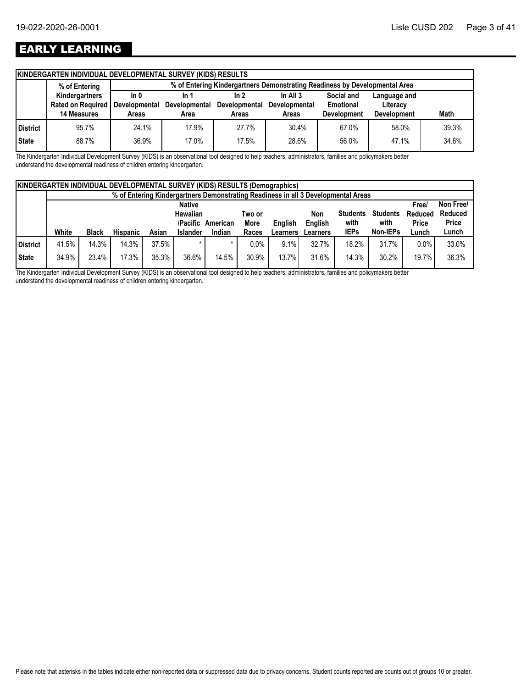# EARLY LEARNING

|          | KINDERGARTEN INDIVIDUAL DEVELOPMENTAL SURVEY (KIDS) RESULTS |               |                                                                            |               |                      |                    |                    |       |  |  |  |  |
|----------|-------------------------------------------------------------|---------------|----------------------------------------------------------------------------|---------------|----------------------|--------------------|--------------------|-------|--|--|--|--|
|          | % of Entering                                               |               | % of Entering Kindergartners Demonstrating Readiness by Developmental Area |               |                      |                    |                    |       |  |  |  |  |
|          | Kindergartners                                              | ln 0          | In 1                                                                       | In $2$        | In All $3$           | Social and         | Language and       |       |  |  |  |  |
|          | Rated on Required                                           | Developmental | <b>Developmental</b>                                                       | Developmental | <b>Developmental</b> | Emotional          | Literacy           |       |  |  |  |  |
|          |                                                             |               |                                                                            |               |                      |                    |                    |       |  |  |  |  |
|          |                                                             |               |                                                                            |               |                      |                    |                    |       |  |  |  |  |
| District | 95.7%                                                       | 24.1%         | 17.9%                                                                      | 27.7%         | 30.4%                | 67.0%              | 58.0%              | 39.3% |  |  |  |  |
|          | <b>14 Measures</b>                                          | Areas         | Area                                                                       | Areas         | Areas                | <b>Development</b> | <b>Development</b> | Math  |  |  |  |  |

The Kindergarten Individual Development Survey (KIDS) is an observational tool designed to help teachers, administrators, families and policymakers better understand the developmental readiness of children entering kindergarten.

|          | <b>KINDERGARTEN INDIVIDUAL DEVELOPMENTAL SURVEY (KIDS) RESULTS (Demographics)</b> |                                                                                   |                 |       |                 |          |             |          |          |                 |                 |              |              |
|----------|-----------------------------------------------------------------------------------|-----------------------------------------------------------------------------------|-----------------|-------|-----------------|----------|-------------|----------|----------|-----------------|-----------------|--------------|--------------|
|          |                                                                                   | % of Entering Kindergartners Demonstrating Readiness in all 3 Developmental Areas |                 |       |                 |          |             |          |          |                 |                 |              |              |
|          | <b>Native</b>                                                                     |                                                                                   |                 |       |                 |          |             |          |          |                 |                 | <b>Free/</b> | Non Free/    |
|          |                                                                                   |                                                                                   |                 |       | <b>Hawaiian</b> |          | Two or      |          | Non      | <b>Students</b> | <b>Students</b> | Reduced      | Reduced      |
|          |                                                                                   |                                                                                   |                 |       | /Pacific        | American | <b>More</b> | English  | English  | with            | with            | <b>Price</b> | <b>Price</b> |
|          | White                                                                             | <b>Black</b>                                                                      | <b>Hispanic</b> | Asian | <b>Islander</b> | Indian   | Races       | Learners | Learners | <b>IEPs</b>     | <b>Non-IEPs</b> | Lunch        | Lunch        |
| District | 41.5%                                                                             | 14.3%                                                                             | 14.3%           | 37.5% |                 |          | $0.0\%$     | 9.1%     | 32.7%    | 18.2%           | 31.7%           | 0.0%         | 33.0%        |
| State    | 34.9%                                                                             | 23.4%                                                                             | 17.3%           | 35.3% | 36.6%           | 14.5%    | 30.9%       | 13.7%    | 31.6%    | 14.3%           | 30.2%           | 19.7%        | 36.3%        |

The Kindergarten Individual Development Survey (KIDS) is an observational tool designed to help teachers, administrators, families and policymakers better understand the developmental readiness of children entering kindergarten.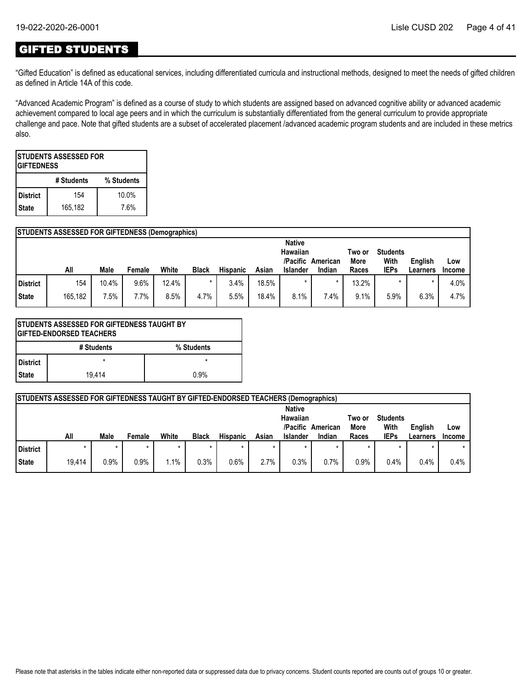## GIFTED STUDENTS

"Gifted Education" is defined as educational services, including differentiated curricula and instructional methods, designed to meet the needs of gifted children as defined in Article 14A of this code.

"Advanced Academic Program" is defined as a course of study to which students are assigned based on advanced cognitive ability or advanced academic achievement compared to local age peers and in which the curriculum is substantially differentiated from the general curriculum to provide appropriate challenge and pace. Note that gifted students are a subset of accelerated placement /advanced academic program students and are included in these metrics also.

| <b>STUDENTS ASSESSED FOR</b><br><b>IGIFTEDNESS</b> |            |            |  |  |  |  |  |  |  |
|----------------------------------------------------|------------|------------|--|--|--|--|--|--|--|
|                                                    | # Students | % Students |  |  |  |  |  |  |  |
| <b>District</b>                                    | 154        | 10.0%      |  |  |  |  |  |  |  |
| 165,182<br>7.6%<br><b>State</b>                    |            |            |  |  |  |  |  |  |  |

### **STUDENTS ASSESSED FOR GIFTEDNESS (Demographics)**

|              |         |       |        |       |              |                 |       | <b>Native</b>   |          |        |                 |          |               |
|--------------|---------|-------|--------|-------|--------------|-----------------|-------|-----------------|----------|--------|-----------------|----------|---------------|
|              |         |       |        |       |              |                 |       | Hawaiian        |          | Two or | <b>Students</b> |          |               |
|              |         |       |        |       |              |                 |       | /Pacific        | American | More   | With            | English  | Low           |
|              | All     | Male  | Female | White | <b>Black</b> | <b>Hispanic</b> | Asian | <b>Islander</b> | Indian   | Races  | <b>IEPs</b>     | Learners | <b>Income</b> |
| District     | 154     | 10.4% | 9.6%   | 12.4% |              | 3.4%            | 18.5% |                 |          | 13.2%  |                 |          | 4.0%          |
| <b>State</b> | 165,182 | 7.5%  | 7.7%   | 8.5%  | 4.7%         | 5.5%            | 18.4% | 8.1%            | 7.4%     | 9.1%   | 5.9%            | 6.3%     | 4.7%          |

|                 | ISTUDENTS ASSESSED FOR GIFTEDNESS TAUGHT BY<br>IGIFTED-ENDORSED TEACHERS |            |  |  |  |  |  |  |  |
|-----------------|--------------------------------------------------------------------------|------------|--|--|--|--|--|--|--|
|                 | # Students                                                               | % Students |  |  |  |  |  |  |  |
| <b>District</b> | $\star$                                                                  | $\star$    |  |  |  |  |  |  |  |
| <b>State</b>    | 19.414                                                                   | 0.9%       |  |  |  |  |  |  |  |

|                 | STUDENTS ASSESSED FOR GIFTEDNESS TAUGHT BY GIFTED-ENDORSED TEACHERS (Demographics) |         |        |       |              |                 |        |                                  |                    |                         |                                        |                |        |
|-----------------|------------------------------------------------------------------------------------|---------|--------|-------|--------------|-----------------|--------|----------------------------------|--------------------|-------------------------|----------------------------------------|----------------|--------|
|                 |                                                                                    |         |        |       |              |                 |        | <b>Native</b>                    |                    |                         |                                        |                |        |
|                 | All                                                                                | Male    | Female | White | <b>Black</b> | <b>Hispanic</b> | Asian  | Hawaiian<br>/Pacific<br>Islander | American<br>Indian | Two or<br>More<br>Races | <b>Students</b><br>With<br><b>IEPs</b> | <b>English</b> | Low    |
|                 |                                                                                    |         |        |       |              |                 |        |                                  |                    |                         |                                        | Learners       | Income |
|                 |                                                                                    |         |        |       |              |                 |        |                                  |                    |                         |                                        |                |        |
| <b>District</b> | $\star$                                                                            | $\star$ |        |       | $\star$      | $\star$         | $\ast$ |                                  |                    | $\star$                 |                                        |                |        |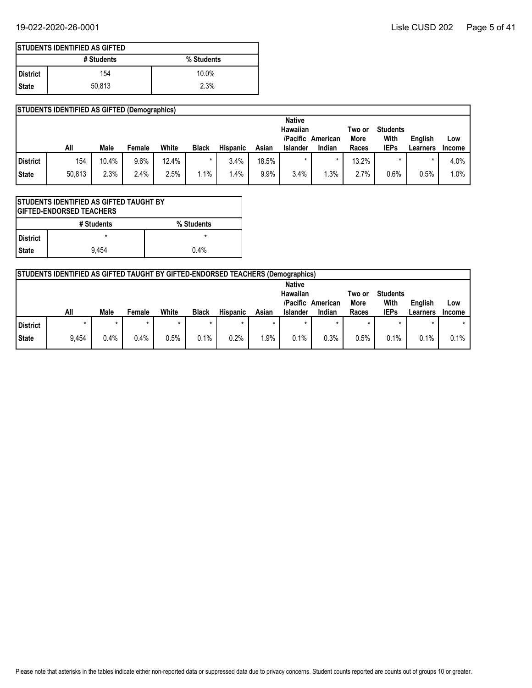|                 | <b>ISTUDENTS IDENTIFIED AS GIFTED</b> |            |  |  |  |  |  |  |  |
|-----------------|---------------------------------------|------------|--|--|--|--|--|--|--|
|                 | # Students                            | % Students |  |  |  |  |  |  |  |
| <b>District</b> | 154                                   | $10.0\%$   |  |  |  |  |  |  |  |
| l State         | 50.813                                | 2.3%       |  |  |  |  |  |  |  |

|          | <b>STUDENTS IDENTIFIED AS GIFTED (Demographics)</b> |             |        |       |              |                 |       |                                       |          |                |                         |          |               |
|----------|-----------------------------------------------------|-------------|--------|-------|--------------|-----------------|-------|---------------------------------------|----------|----------------|-------------------------|----------|---------------|
|          |                                                     |             |        |       |              |                 |       | <b>Native</b><br>Hawaiian<br>/Pacific | American | Two or<br>More | <b>Students</b><br>With | English  | Low           |
|          | All                                                 | <b>Male</b> | Female | White | <b>Black</b> | <b>Hispanic</b> | Asian | <b>Islander</b>                       | Indian   | Races          | <b>IEPs</b>             | Learners | <b>Income</b> |
| District | 154                                                 | 10.4%       | 9.6%   | 12.4% |              | 3.4%            | 18.5% |                                       |          | 13.2%          |                         |          | 4.0%          |
| State    | 50,813                                              | 2.3%        | 2.4%   | 2.5%  | $1\%$        | $.4\%$          | 9.9%  | 3.4%                                  | .3%      | 2.7%           | 0.6%                    | 0.5%     | $1.0\%$       |

|            | <b>STUDENTS IDENTIFIED AS GIFTED TAUGHT BY</b><br><b>IGIFTED-ENDORSED TEACHERS</b> |         |  |  |  |  |  |  |  |
|------------|------------------------------------------------------------------------------------|---------|--|--|--|--|--|--|--|
|            | # Students<br>% Students                                                           |         |  |  |  |  |  |  |  |
| l District |                                                                                    | $\star$ |  |  |  |  |  |  |  |
| l State    | 9.454                                                                              | 0.4%    |  |  |  |  |  |  |  |

|              | <b>STUDENTS IDENTIFIED AS GIFTED TAUGHT BY GIFTED-ENDORSED TEACHERS (Demographics)</b> |         |        |       |              |                 |       |                                                          |                    |                         |                                        |                     |                      |
|--------------|----------------------------------------------------------------------------------------|---------|--------|-------|--------------|-----------------|-------|----------------------------------------------------------|--------------------|-------------------------|----------------------------------------|---------------------|----------------------|
|              | All                                                                                    | Male    | Female | White | <b>Black</b> | <b>Hispanic</b> | Asian | <b>Native</b><br>Hawaiian<br>/Pacific<br><b>Islander</b> | American<br>Indian | Two or<br>More<br>Races | <b>Students</b><br>With<br><b>IEPs</b> | English<br>Learners | Low<br><b>Income</b> |
| l District   |                                                                                        | $\star$ |        |       | ÷            |                 |       |                                                          |                    |                         | $\star$                                | $\star$             |                      |
| <b>State</b> | 9,454                                                                                  | 0.4%    | 0.4%   | 0.5%  | 0.1%         | 0.2%            | 1.9%  | 0.1%                                                     | 0.3%               | $0.5\%$                 | 0.1%                                   | 0.1%                | 0.1%                 |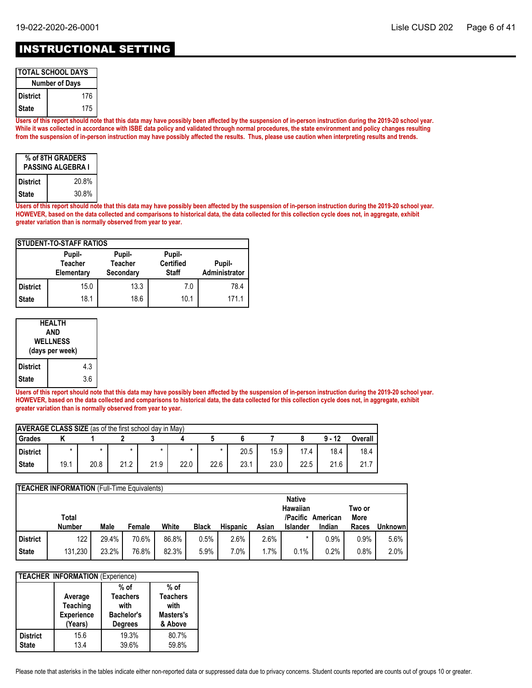# INSTRUCTIONAL SETTING

| <b>TOTAL SCHOOL DAYS</b> |     |  |  |  |  |  |
|--------------------------|-----|--|--|--|--|--|
| <b>Number of Days</b>    |     |  |  |  |  |  |
| l District               | 176 |  |  |  |  |  |
| l State                  | 175 |  |  |  |  |  |

**Users of this report should note that this data may have possibly been affected by the suspension of in-person instruction during the 2019-20 school year. While it was collected in accordance with ISBE data policy and validated through normal procedures, the state environment and policy changes resulting from the suspension of in-person instruction may have possibly affected the results. Thus, please use caution when interpreting results and trends.**

| % of 8TH GRADERS<br><b>PASSING ALGEBRA I</b> |       |  |  |  |  |  |  |
|----------------------------------------------|-------|--|--|--|--|--|--|
| <b>District</b>                              | 20.8% |  |  |  |  |  |  |
| <b>State</b>                                 | 30.8% |  |  |  |  |  |  |

**Users of this report should note that this data may have possibly been affected by the suspension of in-person instruction during the 2019-20 school year. HOWEVER, based on the data collected and comparisons to historical data, the data collected for this collection cycle does not, in aggregate, exhibit greater variation than is normally observed from year to year.**

| <b>ISTUDENT-TO-STAFF RATIOS</b> |                                        |                                       |                                            |                         |  |  |  |  |  |
|---------------------------------|----------------------------------------|---------------------------------------|--------------------------------------------|-------------------------|--|--|--|--|--|
|                                 | Pupil-<br><b>Teacher</b><br>Elementary | Pupil-<br><b>Teacher</b><br>Secondary | Pupil-<br><b>Certified</b><br><b>Staff</b> | Pupil-<br>Administrator |  |  |  |  |  |
| <b>District</b>                 | 15.0                                   | 13.3                                  | 7.0                                        | 78.4                    |  |  |  |  |  |
| <b>State</b>                    | 18.1                                   | 18.6                                  | 10.1                                       | 171.1                   |  |  |  |  |  |

| HEALTH<br>AND<br><b>WELLNESS</b><br>(days per week) |  |     |  |  |  |  |
|-----------------------------------------------------|--|-----|--|--|--|--|
| <b>District</b>                                     |  | 4.3 |  |  |  |  |
| State                                               |  | 3.6 |  |  |  |  |

**Users of this report should note that this data may have possibly been affected by the suspension of in-person instruction during the 2019-20 school year. HOWEVER, based on the data collected and comparisons to historical data, the data collected for this collection cycle does not, in aggregate, exhibit greater variation than is normally observed from year to year.**

| <b>AVERAGE CLASS SIZE</b> (as of the first school day in May) |      |      |      |         |         |      |      |      |      |          |         |
|---------------------------------------------------------------|------|------|------|---------|---------|------|------|------|------|----------|---------|
| Grades                                                        |      |      |      |         |         |      |      |      |      | $9 - 12$ | Overall |
| District                                                      |      |      |      | $\star$ | $\star$ |      | 20.5 | 15.9 | 17.4 | 18.4     | 18.4    |
| <b>State</b>                                                  | 19.1 | 20.8 | 21.2 | 21.9    | 22.0    | 22.6 | 23.1 | 23.0 | 22.5 | 21.6     | 21.7    |

|                 | <b>TEACHER INFORMATION</b> (Full-Time Equivalents) |       |        |       |              |                 |        |                             |                    |               |                |  |
|-----------------|----------------------------------------------------|-------|--------|-------|--------------|-----------------|--------|-----------------------------|--------------------|---------------|----------------|--|
|                 |                                                    |       |        |       |              |                 |        | <b>Native</b><br>Hawaiian   |                    | Two or        |                |  |
|                 | Total<br><b>Number</b>                             | Male  | Female | White | <b>Black</b> | <b>Hispanic</b> | Asian  | /Pacific<br><b>Islander</b> | American<br>Indian | More<br>Races | <b>Unknown</b> |  |
|                 |                                                    |       |        |       |              |                 |        |                             |                    |               |                |  |
| <b>District</b> | 122                                                | 29.4% | 70.6%  | 86.8% | 0.5%         | 2.6%            | 2.6%   |                             | 0.9%               | $0.9\%$       | 5.6%           |  |
| <b>State</b>    | 131,230                                            | 23.2% | 76.8%  | 82.3% | 5.9%         | 7.0%            | $.7\%$ | 0.1%                        | 0.2%               | 0.8%          | 2.0%           |  |

| <b>TEACHER INFORMATION (Experience)</b> |                                                            |                                                                          |                                                           |  |  |  |  |  |  |
|-----------------------------------------|------------------------------------------------------------|--------------------------------------------------------------------------|-----------------------------------------------------------|--|--|--|--|--|--|
|                                         | Average<br><b>Teaching</b><br><b>Experience</b><br>(Years) | $%$ of<br><b>Teachers</b><br>with<br><b>Bachelor's</b><br><b>Degrees</b> | $%$ of<br><b>Teachers</b><br>with<br>Masters's<br>& Above |  |  |  |  |  |  |
| <b>District</b><br><b>State</b>         | 15.6<br>13.4                                               | 19.3%<br>39.6%                                                           | 80.7%<br>59.8%                                            |  |  |  |  |  |  |

Please note that asterisks in the tables indicate either non-reported data or suppressed data due to privacy concerns. Student counts reported are counts out of groups 10 or greater.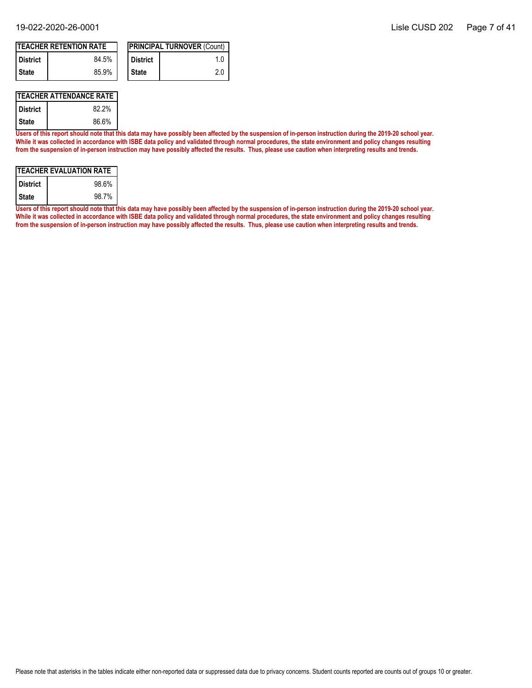|            | <b>TEACHER RETENTION RATE</b> |                    | <b>IPRINCIPAL TURNOVER (Count)</b> |
|------------|-------------------------------|--------------------|------------------------------------|
| l District | 84.5%                         | <b>District</b>    |                                    |
| l State    | 85.9%                         | <sup>I</sup> State | 20                                 |

### **TEACHER ATTENDANCE RATE**

| <b>District</b> | 82.2% |
|-----------------|-------|
| State           | 86.6% |

**Users of this report should note that this data may have possibly been affected by the suspension of in-person instruction during the 2019-20 school year. While it was collected in accordance with ISBE data policy and validated through normal procedures, the state environment and policy changes resulting from the suspension of in-person instruction may have possibly affected the results. Thus, please use caution when interpreting results and trends.**

| <b>TEACHER EVALUATION RATE</b> |       |  |  |  |  |  |
|--------------------------------|-------|--|--|--|--|--|
| <b>District</b>                | 98.6% |  |  |  |  |  |
| <b>State</b>                   | 98.7% |  |  |  |  |  |

**Users of this report should note that this data may have possibly been affected by the suspension of in-person instruction during the 2019-20 school year. While it was collected in accordance with ISBE data policy and validated through normal procedures, the state environment and policy changes resulting from the suspension of in-person instruction may have possibly affected the results. Thus, please use caution when interpreting results and trends.**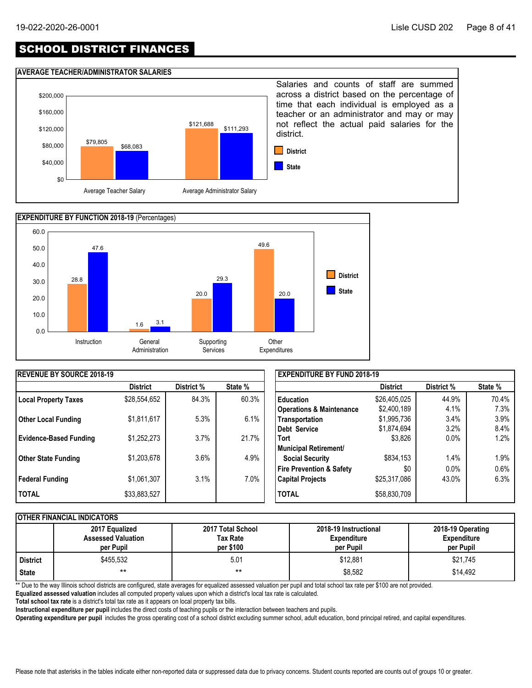# SCHOOL DISTRICT FINANCES

### **AVERAGE TEACHER/ADMINISTRATOR SALARIES**





| <b>IREVENUE BY SOURCE 2018-19</b> |                 |            |         | <b>EXPENDITURE BY FUND 2018-19</b>  |                 |            |         |
|-----------------------------------|-----------------|------------|---------|-------------------------------------|-----------------|------------|---------|
|                                   | <b>District</b> | District % | State % |                                     | <b>District</b> | District % | State % |
| <b>Local Property Taxes</b>       | \$28,554,652    | 84.3%      | 60.3%   | <b>Education</b>                    | \$26,405,025    | 44.9%      | 70.4%   |
|                                   |                 |            |         | <b>Operations &amp; Maintenance</b> | \$2,400,189     | 4.1%       | 7.3%    |
| <b>Other Local Funding</b>        | \$1,811,617     | 5.3%       | 6.1%    | Transportation                      | \$1,995,736     | 3.4%       | 3.9%    |
|                                   |                 |            |         | Debt Service                        | \$1,874,694     | 3.2%       | 8.4%    |
| <b>Evidence-Based Funding</b>     | \$1,252,273     | 3.7%       | 21.7%   | <b>Tort</b>                         | \$3,826         | $0.0\%$    | $1.2\%$ |
|                                   |                 |            |         | Municipal Retirement/               |                 |            |         |
| <b>Other State Funding</b>        | \$1,203,678     | 3.6%       | 4.9%    | <b>Social Security</b>              | \$834,153       | 1.4%       | 1.9%    |
|                                   |                 |            |         | Fire Prevention & Safety            | \$0             | 0.0%       | $0.6\%$ |
| Federal Funding                   | \$1,061,307     | 3.1%       | 7.0%    | <b>Capital Projects</b>             | \$25,317,086    | 43.0%      | 6.3%    |
| <b>I TOTAL</b>                    | \$33,883,527    |            |         | <b>TOTAL</b>                        | \$58,830,709    |            |         |

### **OTHER FINANCIAL INDICATORS**

|                 | 2017 Equalized<br><b>Assessed Valuation</b><br>per Pupil | 2017 Total School<br>Tax Rate<br>per \$100 | 2018-19 Instructional<br><b>Expenditure</b><br>per Pupil | 2018-19 Operating<br><b>Expenditure</b><br>per Pupil |
|-----------------|----------------------------------------------------------|--------------------------------------------|----------------------------------------------------------|------------------------------------------------------|
| <b>District</b> | \$455.532                                                | 5.01                                       | \$12.881                                                 | \$21,745                                             |
| <b>State</b>    | $***$                                                    | $***$                                      | \$8,582                                                  | \$14,492                                             |

\*\* Due to the way Illinois school districts are configured, state averages for equalized assessed valuation per pupil and total school tax rate per \$100 are not provided.

**Equalized assessed valuation** includes all computed property values upon which a district's local tax rate is calculated.

**Total school tax rate** is a district's total tax rate as it appears on local property tax bills.

**Instructional expenditure per pupil** includes the direct costs of teaching pupils or the interaction between teachers and pupils.

**Operating expenditure per pupil** includes the gross operating cost of a school district excluding summer school, adult education, bond principal retired, and capital expenditures.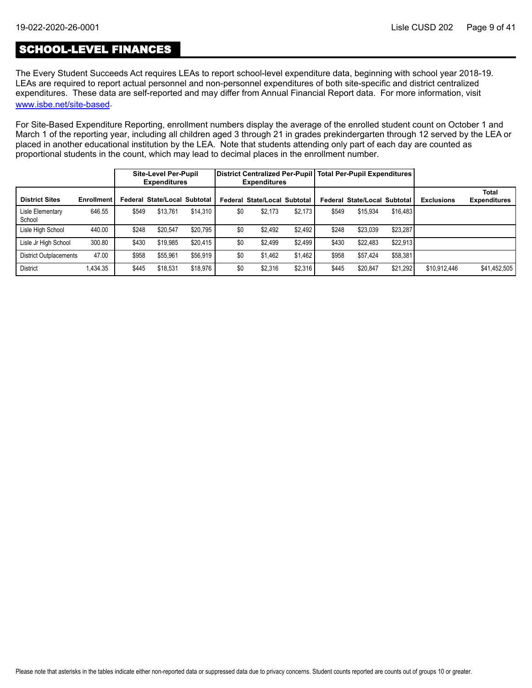## SCHOOL-LEVEL FINANCES

The Every Student Succeeds Act requires LEAs to report school-level expenditure data, beginning with school year 2018-19. LEAs are required to report actual personnel and non-personnel expenditures of both site-specific and district centralized expenditures. These data are self-reported and may differ from Annual Financial Report data. For more information, visit [www.isbe.net/site-based](https://www.isbe.net/site-based).

For Site-Based Expenditure Reporting, enrollment numbers display the average of the enrolled student count on October 1 and March 1 of the reporting year, including all children aged 3 through 21 in grades prekindergarten through 12 served by the LEA or placed in another educational institution by the LEA. Note that students attending only part of each day are counted as proportional students in the count, which may lead to decimal places in the enrollment number.

|                               |                   |       | <b>Site-Level Per-Pupil</b><br><b>Expenditures</b> |          |     | District Centralized Per-Pupil   Total Per-Pupil Expenditures  <br><b>Expenditures</b> |         |       |                              |          |                   |                                     |
|-------------------------------|-------------------|-------|----------------------------------------------------|----------|-----|----------------------------------------------------------------------------------------|---------|-------|------------------------------|----------|-------------------|-------------------------------------|
| <b>District Sites</b>         | <b>Enrollment</b> |       | Federal State/Local Subtotal                       |          |     | Federal State/Local Subtotal                                                           |         |       | Federal State/Local Subtotal |          | <b>Exclusions</b> | <b>Total</b><br><b>Expenditures</b> |
| Lisle Elementary<br>School    | 646.55            | \$549 | \$13.761                                           | \$14.310 | \$0 | \$2.173                                                                                | \$2.173 | \$549 | \$15.934                     | \$16,483 |                   |                                     |
| Lisle High School             | 440.00            | \$248 | \$20,547                                           | \$20.795 | \$0 | \$2,492                                                                                | \$2.492 | \$248 | \$23,039                     | \$23,287 |                   |                                     |
| Lisle Jr High School          | 300.80            | \$430 | \$19,985                                           | \$20.415 | \$0 | \$2.499                                                                                | \$2.499 | \$430 | \$22,483                     | \$22,913 |                   |                                     |
| <b>District Outplacements</b> | 47.00             | \$958 | \$55.961                                           | \$56.919 | \$0 | \$1.462                                                                                | \$1.462 | \$958 | \$57.424                     | \$58,381 |                   |                                     |
| <b>District</b>               | 1.434.35          | \$445 | \$18.531                                           | \$18.976 | \$0 | \$2,316                                                                                | \$2.316 | \$445 | \$20.847                     | \$21.292 | \$10.912.446      | \$41,452,505                        |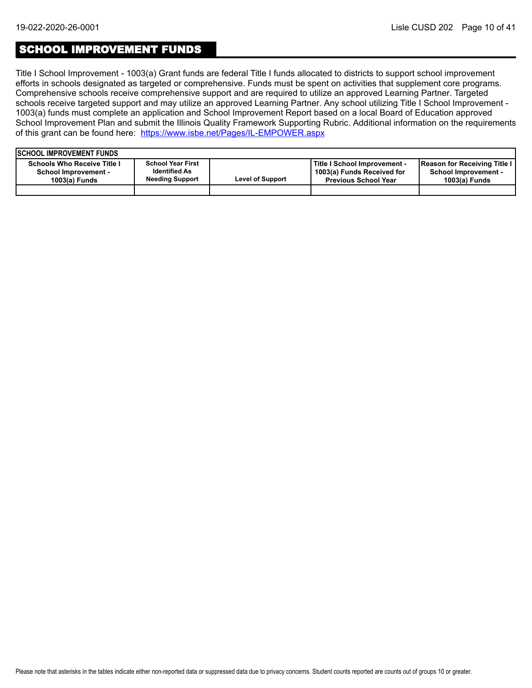### SCHOOL IMPROVEMENT FUNDS

Title I School Improvement - 1003(a) Grant funds are federal Title I funds allocated to districts to support school improvement efforts in schools designated as targeted or comprehensive. Funds must be spent on activities that supplement core programs. Comprehensive schools receive comprehensive support and are required to utilize an approved Learning Partner. Targeted schools receive targeted support and may utilize an approved Learning Partner. Any school utilizing Title I School Improvement - 1003(a) funds must complete an application and School Improvement Report based on a local Board of Education approved School Improvement Plan and submit the Illinois Quality Framework Supporting Rubric. Additional information on the requirements of this grant can be found here:<https://www.isbe.net/Pages/IL-EMPOWER.aspx>

| <b>ISCHOOL IMPROVEMENT FUNDS</b>                                              |                                                                            |                         |                                                                                           |                                                                              |
|-------------------------------------------------------------------------------|----------------------------------------------------------------------------|-------------------------|-------------------------------------------------------------------------------------------|------------------------------------------------------------------------------|
| <b>Schools Who Receive Title I</b><br>School Improvement -<br>$1003(a)$ Funds | <b>School Year First</b><br><b>Identified As</b><br><b>Needing Support</b> | <b>Level of Support</b> | Title I School Improvement -<br>1003(a) Funds Received for<br><b>Previous School Year</b> | Reason for Receiving Title I<br><b>School Improvement -</b><br>1003(a) Funds |
|                                                                               |                                                                            |                         |                                                                                           |                                                                              |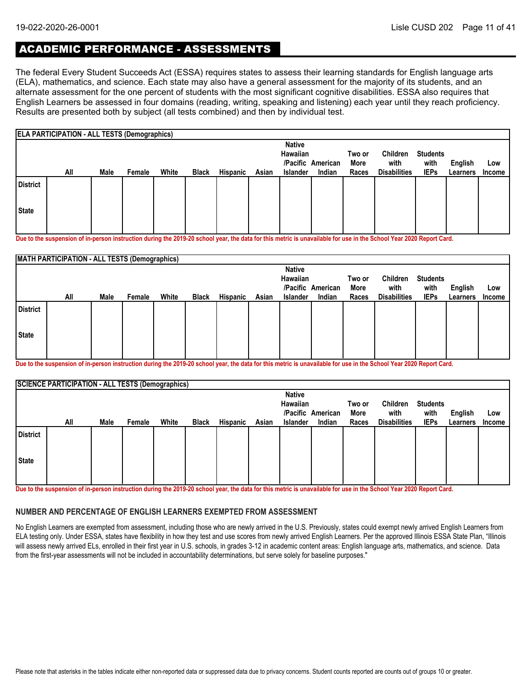# ACADEMIC PERFORMANCE - ASSESSMENTS

The federal Every Student Succeeds Act (ESSA) requires states to assess their learning standards for English language arts (ELA), mathematics, and science. Each state may also have a general assessment for the majority of its students, and an alternate assessment for the one percent of students with the most significant cognitive disabilities. ESSA also requires that English Learners be assessed in four domains (reading, writing, speaking and listening) each year until they reach proficiency. Results are presented both by subject (all tests combined) and then by individual test.

|                 | <b>ELA PARTICIPATION - ALL TESTS (Demographics)</b> |      |        |       |              |                 |       |                           |                   |        |                     |                 |          |        |
|-----------------|-----------------------------------------------------|------|--------|-------|--------------|-----------------|-------|---------------------------|-------------------|--------|---------------------|-----------------|----------|--------|
|                 |                                                     |      |        |       |              |                 |       | <b>Native</b><br>Hawaiian |                   | Two or | Children            | <b>Students</b> |          |        |
|                 |                                                     |      |        |       |              |                 |       |                           | /Pacific American | More   | with                | with            | English  | Low    |
|                 | All                                                 | Male | Female | White | <b>Black</b> | <b>Hispanic</b> | Asian | <b>Islander</b>           | Indian            | Races  | <b>Disabilities</b> | <b>IEPs</b>     | Learners | Income |
| <b>District</b> |                                                     |      |        |       |              |                 |       |                           |                   |        |                     |                 |          |        |
| <b>State</b>    |                                                     |      |        |       |              |                 |       |                           |                   |        |                     |                 |          |        |
|                 |                                                     |      |        |       |              |                 |       |                           |                   |        |                     |                 |          |        |

**Due to the suspension of in-person instruction during the 2019-20 school year, the data for this metric is unavailable for use in the School Year 2020 Report Card.**

|                 | <b>MATH PARTICIPATION - ALL TESTS (Demographics)</b> |      |        |       |              |          |       |                           |                   |                |                     |                         |          |               |
|-----------------|------------------------------------------------------|------|--------|-------|--------------|----------|-------|---------------------------|-------------------|----------------|---------------------|-------------------------|----------|---------------|
|                 |                                                      |      |        |       |              |          |       | <b>Native</b><br>Hawaiian | /Pacific American | Two or<br>More | Children<br>with    | <b>Students</b><br>with | English  | Low           |
|                 | All                                                  | Male | Female | White | <b>Black</b> | Hispanic | Asian | <b>Islander</b>           | Indian            | Races          | <b>Disabilities</b> | <b>IEPs</b>             | Learners | <b>Income</b> |
| <b>District</b> |                                                      |      |        |       |              |          |       |                           |                   |                |                     |                         |          |               |
| State           |                                                      |      |        |       |              |          |       |                           |                   |                |                     |                         |          |               |
|                 |                                                      |      |        |       |              |          |       |                           |                   |                |                     |                         |          |               |

**Due to the suspension of in-person instruction during the 2019-20 school year, the data for this metric is unavailable for use in the School Year 2020 Report Card.**

|                 | <b>SCIENCE PARTICIPATION - ALL TESTS (Demographics)</b> |      |        |       |              |                 |       |                 |                   |        |                     |                 |          |               |
|-----------------|---------------------------------------------------------|------|--------|-------|--------------|-----------------|-------|-----------------|-------------------|--------|---------------------|-----------------|----------|---------------|
|                 |                                                         |      |        |       |              |                 |       | <b>Native</b>   |                   |        |                     |                 |          |               |
|                 |                                                         |      |        |       |              |                 |       | Hawaiian        |                   | Two or | Children            | <b>Students</b> |          |               |
|                 |                                                         |      |        |       |              |                 |       |                 | /Pacific American | More   | with                | with            | English  | Low           |
|                 | All                                                     | Male | Female | White | <b>Black</b> | <b>Hispanic</b> | Asian | <b>Islander</b> | Indian            | Races  | <b>Disabilities</b> | <b>IEPs</b>     | Learners | <b>Income</b> |
| <b>District</b> |                                                         |      |        |       |              |                 |       |                 |                   |        |                     |                 |          |               |
| <b>State</b>    |                                                         |      |        |       |              |                 |       |                 |                   |        |                     |                 |          |               |
|                 |                                                         |      |        |       |              |                 |       |                 |                   |        |                     |                 |          |               |

**Due to the suspension of in-person instruction during the 2019-20 school year, the data for this metric is unavailable for use in the School Year 2020 Report Card.**

### **NUMBER AND PERCENTAGE OF ENGLISH LEARNERS EXEMPTED FROM ASSESSMENT**

No English Learners are exempted from assessment, including those who are newly arrived in the U.S. Previously, states could exempt newly arrived English Learners from ELA testing only. Under ESSA, states have flexibility in how they test and use scores from newly arrived English Learners. Per the approved Illinois ESSA State Plan, "Illinois will assess newly arrived ELs, enrolled in their first year in U.S. schools, in grades 3-12 in academic content areas: English language arts, mathematics, and science. Data from the first-year assessments will not be included in accountability determinations, but serve solely for baseline purposes."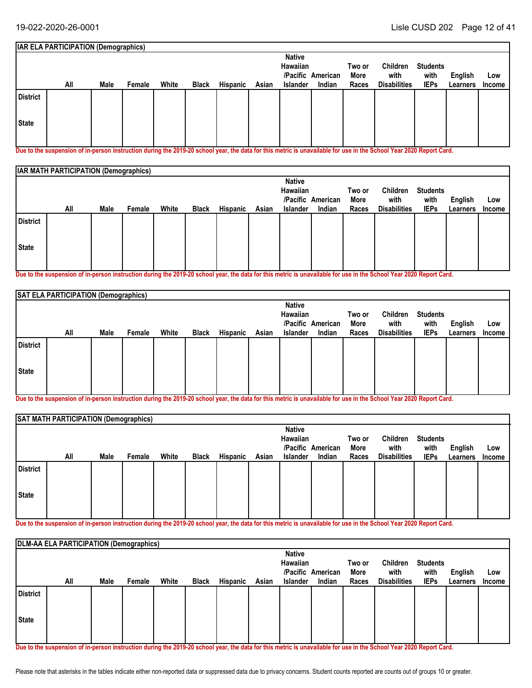#### **Students with IEPs Two or More All Races English** White Black Hispanic Asian Islander Indian Races Disabilities IEPs Learners Income **Low IAR ELA PARTICIPATION (Demographics) American /Pacific Indian Native Hawaiian Male Female White Black Hispanic Asian Islander Children with Disabilities State District**

**Due to the suspension of in-person instruction during the 2019-20 school year, the data for this metric is unavailable for use in the School Year 2020 Report Card.**

|                 | <b>IAR MATH PARTICIPATION (Demographics)</b> |      |        |       |              |          |       |                           |                   |        |                     |                 |          |        |
|-----------------|----------------------------------------------|------|--------|-------|--------------|----------|-------|---------------------------|-------------------|--------|---------------------|-----------------|----------|--------|
|                 |                                              |      |        |       |              |          |       | <b>Native</b><br>Hawaiian |                   | Two or | Children            | <b>Students</b> |          |        |
|                 |                                              |      |        |       |              |          |       |                           | /Pacific American | More   | with                | with            | English  | Low    |
|                 | All                                          | Male | Female | White | <b>Black</b> | Hispanic | Asian | <b>Islander</b>           | Indian            | Races  | <b>Disabilities</b> | <b>IEPs</b>     | Learners | Income |
| <b>District</b> |                                              |      |        |       |              |          |       |                           |                   |        |                     |                 |          |        |
| <b>State</b>    |                                              |      |        |       |              |          |       |                           |                   |        |                     |                 |          |        |
|                 |                                              |      |        |       |              |          |       |                           |                   |        |                     |                 |          |        |

**Due to the suspension of in-person instruction during the 2019-20 school year, the data for this metric is unavailable for use in the School Year 2020 Report Card.**

|                 | SAT ELA PARTICIPATION (Demographics) |      |        |       |              |          |       |                           |                   |                |                     |                         |          |               |
|-----------------|--------------------------------------|------|--------|-------|--------------|----------|-------|---------------------------|-------------------|----------------|---------------------|-------------------------|----------|---------------|
|                 |                                      |      |        |       |              |          |       | <b>Native</b><br>Hawaiian | /Pacific American | Two or<br>More | Children<br>with    | <b>Students</b><br>with | English  | Low           |
|                 | All                                  | Male | Female | White | <b>Black</b> | Hispanic | Asian | <b>Islander</b>           | Indian            | Races          | <b>Disabilities</b> | <b>IEPs</b>             | Learners | <b>Income</b> |
| <b>District</b> |                                      |      |        |       |              |          |       |                           |                   |                |                     |                         |          |               |
| State           |                                      |      |        |       |              |          |       |                           |                   |                |                     |                         |          |               |
|                 |                                      |      |        |       |              |          |       |                           |                   |                |                     |                         |          |               |

**Due to the suspension of in-person instruction during the 2019-20 school year, the data for this metric is unavailable for use in the School Year 2020 Report Card.**

|                 | SAT MATH PARTICIPATION (Demographics) |      |        |       |              |          |       |                                              |                             |                         |                                         |                                        |                     |                      |
|-----------------|---------------------------------------|------|--------|-------|--------------|----------|-------|----------------------------------------------|-----------------------------|-------------------------|-----------------------------------------|----------------------------------------|---------------------|----------------------|
|                 | All                                   | Male | Female | White | <b>Black</b> | Hispanic | Asian | <b>Native</b><br>Hawaiian<br><b>Islander</b> | /Pacific American<br>Indian | Two or<br>More<br>Races | Children<br>with<br><b>Disabilities</b> | <b>Students</b><br>with<br><b>IEPs</b> | English<br>Learners | Low<br><b>Income</b> |
| <b>District</b> |                                       |      |        |       |              |          |       |                                              |                             |                         |                                         |                                        |                     |                      |
| State           |                                       |      |        |       |              |          |       |                                              |                             |                         |                                         |                                        |                     |                      |

**Due to the suspension of in-person instruction during the 2019-20 school year, the data for this metric is unavailable for use in the School Year 2020 Report Card.**

|                 | DLM-AA ELA PARTICIPATION (Demographics) |      |        |       |              |                 |       |                 |                   |        |                     |                 |          |        |
|-----------------|-----------------------------------------|------|--------|-------|--------------|-----------------|-------|-----------------|-------------------|--------|---------------------|-----------------|----------|--------|
|                 |                                         |      |        |       |              |                 |       | <b>Native</b>   |                   |        |                     |                 |          |        |
|                 |                                         |      |        |       |              |                 |       | Hawaiian        |                   | Two or | Children            | <b>Students</b> |          |        |
|                 |                                         |      |        |       |              |                 |       |                 | /Pacific American | More   | with                | with            | English  | Low    |
|                 | All                                     | Male | Female | White | <b>Black</b> | <b>Hispanic</b> | Asian | <b>Islander</b> | Indian            | Races  | <b>Disabilities</b> | <b>IEPs</b>     | Learners | Income |
| <b>District</b> |                                         |      |        |       |              |                 |       |                 |                   |        |                     |                 |          |        |
|                 |                                         |      |        |       |              |                 |       |                 |                   |        |                     |                 |          |        |
| State           |                                         |      |        |       |              |                 |       |                 |                   |        |                     |                 |          |        |
|                 |                                         |      |        |       |              |                 |       |                 |                   |        |                     |                 |          |        |

**Due to the suspension of in-person instruction during the 2019-20 school year, the data for this metric is unavailable for use in the School Year 2020 Report Card.**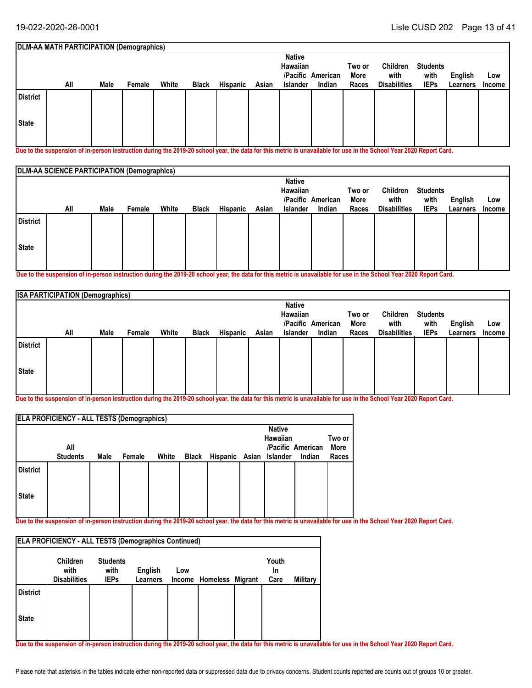#### **Students with IEPs Two or More All Races English** White Black Hispanic Asian Islander Indian Races Disabilities IEPs Learners Income **Low DLM-AA MATH PARTICIPATION (Demographics) American /Pacific Indian Native Hawaiian Male Female White Black Hispanic Asian Islander Children with Disabilities State District**

**Due to the suspension of in-person instruction during the 2019-20 school year, the data for this metric is unavailable for use in the School Year 2020 Report Card.**

|                 | DLM-AA SCIENCE PARTICIPATION (Demographics) |      |        |       |              |          |       |                           |                   |                |                     |                         |                |        |
|-----------------|---------------------------------------------|------|--------|-------|--------------|----------|-------|---------------------------|-------------------|----------------|---------------------|-------------------------|----------------|--------|
|                 |                                             |      |        |       |              |          |       | <b>Native</b><br>Hawaiian | /Pacific American | Two or<br>More | Children<br>with    | <b>Students</b><br>with | <b>English</b> | Low    |
|                 | All                                         | Male | Female | White | <b>Black</b> | Hispanic | Asian | <b>Islander</b>           | Indian            | Races          | <b>Disabilities</b> | <b>IEPs</b>             | Learners       | Income |
| <b>District</b> |                                             |      |        |       |              |          |       |                           |                   |                |                     |                         |                |        |
| State           |                                             |      |        |       |              |          |       |                           |                   |                |                     |                         |                |        |
|                 |                                             |      |        |       |              |          |       |                           |                   |                |                     |                         |                |        |

**Due to the suspension of in-person instruction during the 2019-20 school year, the data for this metric is unavailable for use in the School Year 2020 Report Card.**

|                 | <b>ISA PARTICIPATION (Demographics)</b> |      |        |       |              |                 |       |               |                   |        |                     |                 |          |               |
|-----------------|-----------------------------------------|------|--------|-------|--------------|-----------------|-------|---------------|-------------------|--------|---------------------|-----------------|----------|---------------|
|                 |                                         |      |        |       |              |                 |       | <b>Native</b> |                   |        |                     |                 |          |               |
|                 |                                         |      |        |       |              |                 |       | Hawaiian      |                   | Two or | Children            | <b>Students</b> |          |               |
|                 |                                         |      |        |       |              |                 |       |               | /Pacific American | More   | with                | with            | English  | Low           |
|                 | All                                     | Male | Female | White | <b>Black</b> | <b>Hispanic</b> | Asian | Islander      | Indian            | Races  | <b>Disabilities</b> | <b>IEPs</b>     | Learners | <b>Income</b> |
| <b>District</b> |                                         |      |        |       |              |                 |       |               |                   |        |                     |                 |          |               |
| State           |                                         |      |        |       |              |                 |       |               |                   |        |                     |                 |          |               |

**Due to the suspension of in-person instruction during the 2019-20 school year, the data for this metric is unavailable for use in the School Year 2020 Report Card.**

| <b>ELA PROFICIENCY - ALL TESTS (Demographics)</b> |                 |      |        |       |       |                         |  |                           |                   |        |
|---------------------------------------------------|-----------------|------|--------|-------|-------|-------------------------|--|---------------------------|-------------------|--------|
|                                                   |                 |      |        |       |       |                         |  | <b>Native</b><br>Hawaiian |                   | Two or |
|                                                   | All             |      |        |       |       |                         |  |                           | /Pacific American | More   |
|                                                   | <b>Students</b> | Male | Female | White | Black | Hispanic Asian Islander |  |                           | Indian            | Races  |
| <b>District</b>                                   |                 |      |        |       |       |                         |  |                           |                   |        |
| <b>State</b>                                      |                 |      |        |       |       |                         |  |                           |                   |        |
|                                                   |                 |      |        |       |       |                         |  |                           |                   |        |

**Due to the suspension of in-person instruction during the 2019-20 school year, the data for this metric is unavailable for use in the School Year 2020 Report Card.**

| <b>ELA PROFICIENCY - ALL TESTS (Demographics Continued)</b> |                                                |                                        |                            |     |                         |  |                     |          |  |
|-------------------------------------------------------------|------------------------------------------------|----------------------------------------|----------------------------|-----|-------------------------|--|---------------------|----------|--|
|                                                             | <b>Children</b><br>with<br><b>Disabilities</b> | <b>Students</b><br>with<br><b>IEPs</b> | English<br><b>Learners</b> | Low | Income Homeless Migrant |  | Youth<br>In<br>Care | Military |  |
| <b>District</b>                                             |                                                |                                        |                            |     |                         |  |                     |          |  |
| <b>State</b>                                                |                                                |                                        |                            |     |                         |  |                     |          |  |

**Due to the suspension of in-person instruction during the 2019-20 school year, the data for this metric is unavailable for use in the School Year 2020 Report Card.**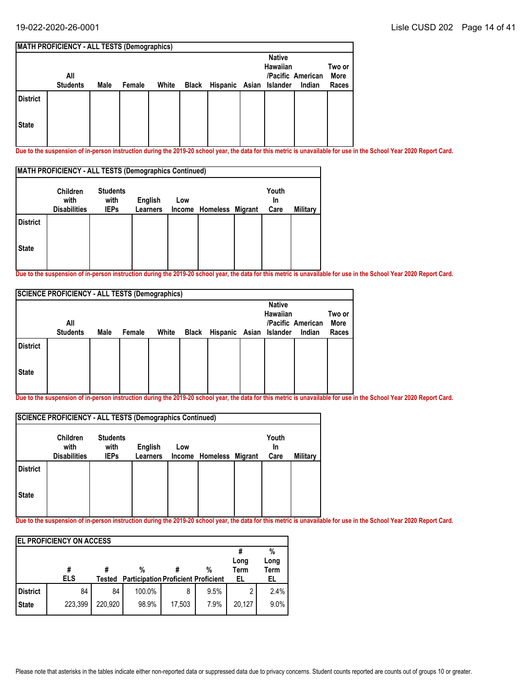| <b>MATH PROFICIENCY - ALL TESTS (Demographics)</b> |                 |      |        |       |  |                               |  |                 |                   |        |
|----------------------------------------------------|-----------------|------|--------|-------|--|-------------------------------|--|-----------------|-------------------|--------|
|                                                    |                 |      |        |       |  |                               |  | <b>Native</b>   |                   |        |
|                                                    |                 |      |        |       |  |                               |  | <b>Hawaiian</b> |                   | Two or |
|                                                    | All             |      |        |       |  |                               |  |                 | /Pacific American | More   |
|                                                    | <b>Students</b> | Male | Female | White |  | Black Hispanic Asian Islander |  |                 | Indian            | Races  |
| <b>District</b>                                    |                 |      |        |       |  |                               |  |                 |                   |        |
| <b>State</b>                                       |                 |      |        |       |  |                               |  |                 |                   |        |

**Due to the suspension of in-person instruction during the 2019-20 school year, the data for this metric is unavailable for use in the School Year 2020 Report Card.** 

| <b>MATH PROFICIENCY - ALL TESTS (Demographics Continued)</b> |                                                |                                        |                                   |     |                         |  |                     |          |
|--------------------------------------------------------------|------------------------------------------------|----------------------------------------|-----------------------------------|-----|-------------------------|--|---------------------|----------|
|                                                              | <b>Children</b><br>with<br><b>Disabilities</b> | <b>Students</b><br>with<br><b>IEPs</b> | <b>English</b><br><b>Learners</b> | Low | Income Homeless Migrant |  | Youth<br>In<br>Care | Military |
| <b>District</b>                                              |                                                |                                        |                                   |     |                         |  |                     |          |
| <b>State</b>                                                 |                                                |                                        |                                   |     |                         |  |                     |          |

**Due to the suspension of in-person instruction during the 2019-20 school year, the data for this metric is unavailable for use in the School Year 2020 Report Card.**

| <b>SCIENCE PROFICIENCY - ALL TESTS (Demographics)</b> |                 |      |        |       |       |                         |  |                           |                   |                |
|-------------------------------------------------------|-----------------|------|--------|-------|-------|-------------------------|--|---------------------------|-------------------|----------------|
|                                                       | All             |      |        |       |       |                         |  | <b>Native</b><br>Hawaiian | /Pacific American | Two or<br>More |
|                                                       | <b>Students</b> | Male | Female | White | Black | Hispanic Asian Islander |  |                           | Indian            | Races          |
| <b>District</b>                                       |                 |      |        |       |       |                         |  |                           |                   |                |
| <b>State</b>                                          |                 |      |        |       |       |                         |  |                           |                   |                |

**Due to the suspension of in-person instruction during the 2019-20 school year, the data for this metric is unavailable for use in the School Year 2020 Report Card.**

| <b>SCIENCE PROFICIENCY - ALL TESTS (Demographics Continued)</b> |                                                |                                        |                            |     |                         |  |                     |          |  |
|-----------------------------------------------------------------|------------------------------------------------|----------------------------------------|----------------------------|-----|-------------------------|--|---------------------|----------|--|
|                                                                 | <b>Children</b><br>with<br><b>Disabilities</b> | <b>Students</b><br>with<br><b>IEPs</b> | English<br><b>Learners</b> | Low | Income Homeless Migrant |  | Youth<br>In<br>Care | Military |  |
| <b>District</b>                                                 |                                                |                                        |                            |     |                         |  |                     |          |  |
| <b>State</b>                                                    |                                                |                                        |                            |     |                         |  |                     |          |  |

**Due to the suspension of in-person instruction during the 2019-20 school year, the data for this metric is unavailable for use in the School Year 2020 Report Card.**

| <b>IEL PROFICIENCY ON ACCESS</b> |                 |         |                                                 |        |      |            |                   |  |  |
|----------------------------------|-----------------|---------|-------------------------------------------------|--------|------|------------|-------------------|--|--|
|                                  |                 |         |                                                 |        |      |            | %                 |  |  |
|                                  |                 |         |                                                 |        |      | Long       | Long              |  |  |
|                                  | #<br><b>ELS</b> | Tested  | %<br><b>Participation Proficient Proficient</b> |        | %    | Term<br>EL | <b>Term</b><br>EL |  |  |
| District                         | 84              | 84      | 100.0%                                          | 8      | 9.5% | 2          | 2.4%              |  |  |
|                                  |                 |         |                                                 |        |      |            |                   |  |  |
| <b>State</b>                     | 223,399         | 220,920 | 98.9%                                           | 17,503 | 7.9% | 20,127     | 9.0%              |  |  |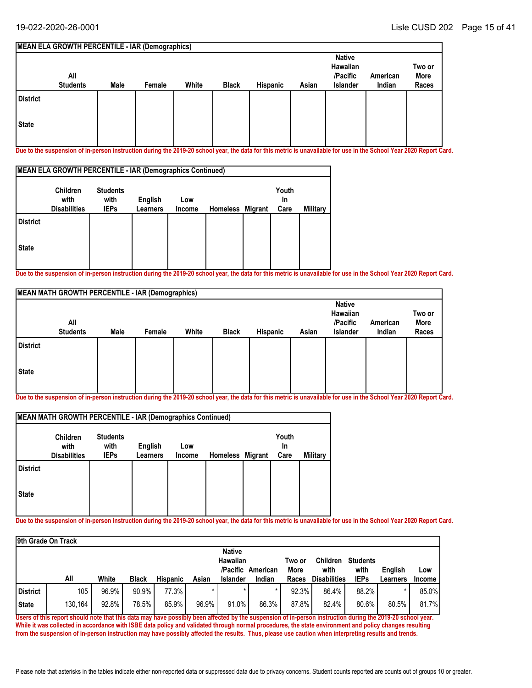#### **MEAN ELA GROWTH PERCENTILE - IAR (Demographics) All Students Native Hawaiian /Pacific Islander American Male Female White Black Hispanic Asian Indian Two or More Races State District**

**Due to the suspension of in-person instruction during the 2019-20 school year, the data for this metric is unavailable for use in the School Year 2020 Report Card.**

| MEAN ELA GROWTH PERCENTILE - IAR (Demographics Continued) |                                                |                                        |                            |                      |                  |  |                     |          |  |
|-----------------------------------------------------------|------------------------------------------------|----------------------------------------|----------------------------|----------------------|------------------|--|---------------------|----------|--|
|                                                           | <b>Children</b><br>with<br><b>Disabilities</b> | <b>Students</b><br>with<br><b>IEPs</b> | English<br><b>Learners</b> | Low<br><b>Income</b> | Homeless Migrant |  | Youth<br>In<br>Care | Military |  |
| <b>District</b>                                           |                                                |                                        |                            |                      |                  |  |                     |          |  |
| <b>State</b>                                              |                                                |                                        |                            |                      |                  |  |                     |          |  |

**Due to the suspension of in-person instruction during the 2019-20 school year, the data for this metric is unavailable for use in the School Year 2020 Report Card.**

| MEAN MATH GROWTH PERCENTILE - IAR (Demographics) |                        |      |        |       |              |          |       |                                                   |                    |                         |
|--------------------------------------------------|------------------------|------|--------|-------|--------------|----------|-------|---------------------------------------------------|--------------------|-------------------------|
|                                                  | All<br><b>Students</b> | Male | Female | White | <b>Black</b> | Hispanic | Asian | <b>Native</b><br>Hawaiian<br>/Pacific<br>Islander | American<br>Indian | Two or<br>More<br>Races |
| <b>District</b>                                  |                        |      |        |       |              |          |       |                                                   |                    |                         |
| <b>State</b>                                     |                        |      |        |       |              |          |       |                                                   |                    |                         |

**Due to the suspension of in-person instruction during the 2019-20 school year, the data for this metric is unavailable for use in the School Year 2020 Report Card.**

| <b>MEAN MATH GROWTH PERCENTILE - IAR (Demographics Continued)</b> |                                                |                                        |                     |               |                  |  |                            |                 |  |
|-------------------------------------------------------------------|------------------------------------------------|----------------------------------------|---------------------|---------------|------------------|--|----------------------------|-----------------|--|
|                                                                   | <b>Children</b><br>with<br><b>Disabilities</b> | <b>Students</b><br>with<br><b>IEPs</b> | English<br>Learners | Low<br>Income | Homeless Migrant |  | Youth<br><b>In</b><br>Care | <b>Military</b> |  |
| <b>District</b>                                                   |                                                |                                        |                     |               |                  |  |                            |                 |  |
| <b>State</b>                                                      |                                                |                                        |                     |               |                  |  |                            |                 |  |

**Due to the suspension of in-person instruction during the 2019-20 school year, the data for this metric is unavailable for use in the School Year 2020 Report Card.**

|                 | 9th Grade On Track |       |              |                 |       |                                  |                   |                |                         |                         |                |               |
|-----------------|--------------------|-------|--------------|-----------------|-------|----------------------------------|-------------------|----------------|-------------------------|-------------------------|----------------|---------------|
|                 |                    |       |              |                 |       | <b>Native</b><br><b>Hawaiian</b> | /Pacific American | Two or<br>More | <b>Children</b><br>with | <b>Students</b><br>with | <b>English</b> | Low           |
|                 | All                | White | <b>Black</b> | <b>Hispanic</b> | Asian | <b>Islander</b>                  | Indian            | Races          | <b>Disabilities</b>     | <b>IEPs</b>             | Learners       | <b>Income</b> |
| <b>District</b> | 105                | 96.9% | 90.9%        | 77.3%           |       | $\star$                          |                   | 92.3%          | 86.4%                   | 88.2%                   |                | 85.0%         |
| <b>State</b>    | 130.164            | 92.8% | 78.5%        | 85.9%           | 96.9% | 91.0%                            | 86.3%             | 87.8%          | 82.4%                   | 80.6%                   | 80.5%          | 81.7%         |

**Users of this report should note that this data may have possibly been affected by the suspension of in-person instruction during the 2019-20 school year. While it was collected in accordance with ISBE data policy and validated through normal procedures, the state environment and policy changes resulting from the suspension of in-person instruction may have possibly affected the results. Thus, please use caution when interpreting results and trends.**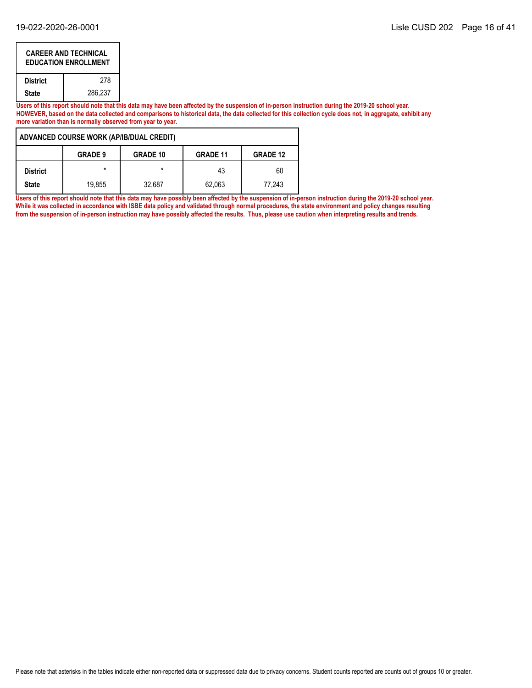|                         | <b>CAREER AND TECHNICAL</b><br><b>EDUCATION ENROLLMENT</b> |  |  |  |  |  |  |
|-------------------------|------------------------------------------------------------|--|--|--|--|--|--|
| <b>District</b>         | 278                                                        |  |  |  |  |  |  |
| 286.237<br><b>State</b> |                                                            |  |  |  |  |  |  |

**Users of this report should note that this data may have been affected by the suspension of in-person instruction during the 2019-20 school year. HOWEVER, based on the data collected and comparisons to historical data, the data collected for this collection cycle does not, in aggregate, exhibit any more variation than is normally observed from year to year.**

|                 | ADVANCED COURSE WORK (AP/IB/DUAL CREDIT)                                |         |        |        |  |  |  |  |  |  |  |
|-----------------|-------------------------------------------------------------------------|---------|--------|--------|--|--|--|--|--|--|--|
|                 | <b>GRADE 10</b><br><b>GRADE 9</b><br><b>GRADE 12</b><br><b>GRADE 11</b> |         |        |        |  |  |  |  |  |  |  |
| <b>District</b> | $\star$                                                                 | $\star$ | 43     | 60     |  |  |  |  |  |  |  |
| <b>State</b>    | 19.855                                                                  | 32.687  | 62,063 | 77.243 |  |  |  |  |  |  |  |

Users of this report should note that this data may have possibly been affected by the suspension of in-person instruction during the 2019-20 school year. **While it was collected in accordance with ISBE data policy and validated through normal procedures, the state environment and policy changes resulting from the suspension of in-person instruction may have possibly affected the results. Thus, please use caution when interpreting results and trends.**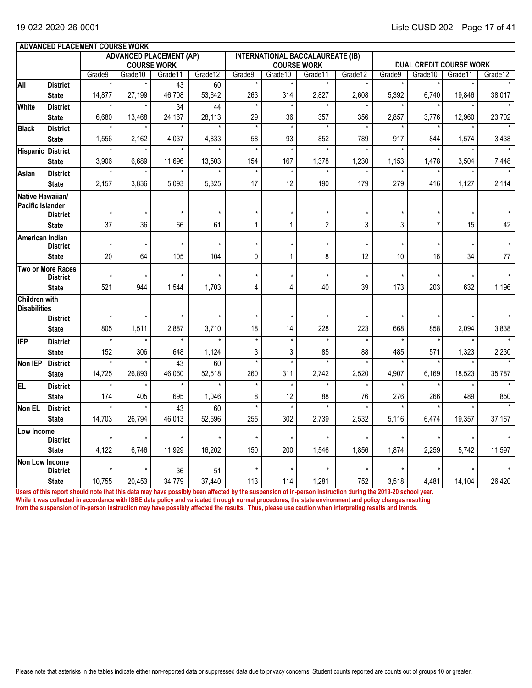|                      | ADVANCED PLACEMENT COURSE WORK  |         |         |                                |               |              |               |                                         |         |         |          |        |                                                                                                                                                                |  |  |
|----------------------|---------------------------------|---------|---------|--------------------------------|---------------|--------------|---------------|-----------------------------------------|---------|---------|----------|--------|----------------------------------------------------------------------------------------------------------------------------------------------------------------|--|--|
|                      |                                 |         |         | <b>ADVANCED PLACEMENT (AP)</b> |               |              |               | <b>INTERNATIONAL BACCALAUREATE (IB)</b> |         |         |          |        |                                                                                                                                                                |  |  |
|                      |                                 |         |         | <b>COURSE WORK</b>             |               |              |               | <b>COURSE WORK</b>                      |         |         |          |        | <b>DUAL CREDIT COURSE WORK</b><br>Grade12<br>Grade11<br>19,846<br>38,017<br>12,960<br>23,702<br>1,574<br>3,438<br>3,504<br>7,448<br>1,127<br>2,114<br>42<br>15 |  |  |
|                      | <b>District</b>                 | Grade9  | Grade10 | Grade11<br>43                  | Grade12<br>60 | Grade9       | Grade10<br>×  | Grade11                                 | Grade12 | Grade9  | Grade 10 |        |                                                                                                                                                                |  |  |
| All                  | <b>State</b>                    | 14,877  | 27,199  | 46,708                         | 53,642        | 263          | 314           | 2,827                                   | 2,608   | 5,392   | 6,740    |        |                                                                                                                                                                |  |  |
| <b>White</b>         | <b>District</b>                 |         |         | 34                             | 44            | $\star$      | $\star$       |                                         |         |         |          |        |                                                                                                                                                                |  |  |
|                      | <b>State</b>                    | 6,680   | 13,468  | 24,167                         | 28,113        | 29           | 36            | 357                                     | 356     | 2,857   | 3,776    |        |                                                                                                                                                                |  |  |
| <b>Black</b>         | <b>District</b>                 | $\star$ |         |                                |               | $\star$      | $^\star$      | $\star$                                 | $\star$ | $\star$ |          |        |                                                                                                                                                                |  |  |
|                      | <b>State</b>                    | 1,556   | 2,162   | 4,037                          | 4,833         | 58           | 93            | 852                                     | 789     | 917     | 844      |        |                                                                                                                                                                |  |  |
|                      | <b>Hispanic District</b>        | $\star$ |         |                                |               | $\star$      | $\star$       | $\star$                                 |         | $\star$ |          |        |                                                                                                                                                                |  |  |
|                      | <b>State</b>                    | 3,906   | 6,689   | 11,696                         | 13,503        | 154          | 167           | 1,378                                   | 1,230   | 1,153   | 1,478    |        |                                                                                                                                                                |  |  |
| Asian                | <b>District</b>                 |         |         |                                |               | $\star$      | $\star$       | $\star$                                 |         |         |          |        |                                                                                                                                                                |  |  |
|                      | <b>State</b>                    | 2,157   | 3,836   | 5,093                          | 5,325         | 17           | 12            | 190                                     | 179     | 279     | 416      |        |                                                                                                                                                                |  |  |
| Native Hawaiian/     |                                 |         |         |                                |               |              |               |                                         |         |         |          |        |                                                                                                                                                                |  |  |
| Pacific Islander     | <b>District</b>                 | $\star$ |         |                                |               |              | $\star$       | $\star$                                 |         |         |          |        |                                                                                                                                                                |  |  |
|                      | <b>State</b>                    | 37      | 36      | 66                             | 61            | $\mathbf{1}$ | 1             | $\overline{2}$                          | 3       | 3       | 7        |        |                                                                                                                                                                |  |  |
| American Indian      |                                 |         |         |                                |               |              |               |                                         |         |         |          |        |                                                                                                                                                                |  |  |
|                      | <b>District</b>                 | $\star$ | $\star$ |                                | $\star$       | $\star$      | $\star$       | $\star$                                 | $\star$ | $\star$ |          |        |                                                                                                                                                                |  |  |
|                      | <b>State</b>                    | 20      | 64      | 105                            | 104           | 0            | 1             | 8                                       | 12      | 10      | 16       | 34     | 77                                                                                                                                                             |  |  |
|                      | <b>Two or More Races</b>        | $\star$ | $\star$ |                                | $\star$       | $\star$      | $\star$       | $\star$                                 | $\star$ | $\star$ |          |        |                                                                                                                                                                |  |  |
|                      | <b>District</b><br><b>State</b> | 521     | 944     | 1,544                          | 1,703         | 4            | 4             | 40                                      | 39      | 173     | 203      | 632    | 1,196                                                                                                                                                          |  |  |
| <b>Children with</b> |                                 |         |         |                                |               |              |               |                                         |         |         |          |        |                                                                                                                                                                |  |  |
| <b>Disabilities</b>  |                                 |         |         |                                |               |              |               |                                         |         |         |          |        |                                                                                                                                                                |  |  |
|                      | <b>District</b>                 |         |         |                                |               |              | $\star$       | $\star$                                 | $\star$ |         |          |        |                                                                                                                                                                |  |  |
|                      | <b>State</b>                    | 805     | 1,511   | 2,887                          | 3,710         | 18           | 14            | 228                                     | 223     | 668     | 858      | 2,094  | 3,838                                                                                                                                                          |  |  |
| <b>IEP</b>           | <b>District</b>                 | $\star$ |         |                                |               | $\star$      | $\star$       | $\star$                                 | $\star$ |         |          |        |                                                                                                                                                                |  |  |
|                      | <b>State</b>                    | 152     | 306     | 648                            | 1,124         | 3            | 3             | 85                                      | 88      | 485     | 571      | 1,323  | 2,230                                                                                                                                                          |  |  |
| Non IEP              | <b>District</b>                 |         |         | 43                             | 60            | $\star$      | $\star$       | $\star$                                 |         |         |          |        |                                                                                                                                                                |  |  |
|                      | <b>State</b>                    | 14,725  | 26,893  | 46,060<br>$\star$              | 52,518        | 260          | 311           | 2,742<br>$\star$                        | 2,520   | 4,907   | 6,169    | 18,523 | 35,787<br>$\bullet$                                                                                                                                            |  |  |
| EL                   | <b>District</b>                 | $\star$ |         |                                |               | $\star$      | $\star$       |                                         | $\star$ |         |          |        |                                                                                                                                                                |  |  |
|                      | <b>State</b>                    | 174     | 405     | 695                            | 1,046<br>60   | 8<br>$\star$ | 12<br>$\star$ | 88<br>$\star$                           | 76      | 276     | 266      | 489    | 850                                                                                                                                                            |  |  |
| Non EL               | <b>District</b><br><b>State</b> | 14,703  | 26.794  | 43<br>46.013                   | 52.596        | 255          | 302           | 2.739                                   | 2.532   | 5,116   | 6,474    | 19.357 | 37,167                                                                                                                                                         |  |  |
| Low Income           |                                 |         |         |                                |               |              |               |                                         |         |         |          |        |                                                                                                                                                                |  |  |
|                      | <b>District</b>                 |         |         |                                |               | $\star$      | $\star$       | $\star$                                 | $\star$ |         |          |        |                                                                                                                                                                |  |  |
|                      | <b>State</b>                    | 4,122   | 6,746   | 11,929                         | 16,202        | 150          | 200           | 1,546                                   | 1,856   | 1,874   | 2,259    | 5,742  | 11,597                                                                                                                                                         |  |  |
| Non Low Income       |                                 |         |         |                                |               |              |               |                                         |         |         |          |        |                                                                                                                                                                |  |  |
|                      | <b>District</b>                 |         |         | 36                             | 51            |              | ×             |                                         |         |         |          |        |                                                                                                                                                                |  |  |
|                      | <b>State</b>                    | 10,755  | 20,453  | 34,779                         | 37,440        | 113          | 114           | 1,281                                   | 752     | 3,518   | 4,481    | 14,104 | 26,420                                                                                                                                                         |  |  |

**Users of this report should note that this data may have possibly been affected by the suspension of in-person instruction during the 2019-20 school year. While it was collected in accordance with ISBE data policy and validated through normal procedures, the state environment and policy changes resulting from the suspension of in-person instruction may have possibly affected the results. Thus, please use caution when interpreting results and trends.**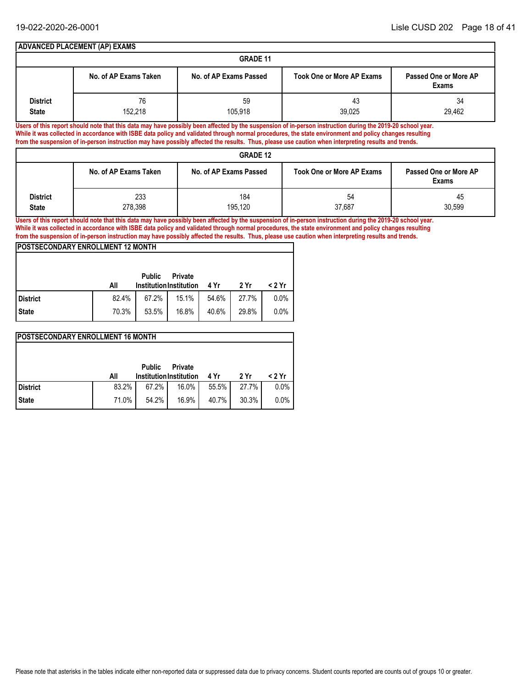|                 | <b>ADVANCED PLACEMENT (AP) EXAMS</b> |                        |                                                                                                                                                                      |                                |  |  |  |  |  |  |  |
|-----------------|--------------------------------------|------------------------|----------------------------------------------------------------------------------------------------------------------------------------------------------------------|--------------------------------|--|--|--|--|--|--|--|
|                 | <b>GRADE 11</b>                      |                        |                                                                                                                                                                      |                                |  |  |  |  |  |  |  |
|                 | No. of AP Exams Taken                | No. of AP Exams Passed | <b>Took One or More AP Exams</b>                                                                                                                                     | Passed One or More AP<br>Exams |  |  |  |  |  |  |  |
| <b>District</b> | 76                                   | 59                     | 43                                                                                                                                                                   | 34                             |  |  |  |  |  |  |  |
| <b>State</b>    | 152.218                              | 105.918                | 39.025<br>Users of this report should note that this data may have possibly been affected by the suspension of in-person instruction during the 2019-20 school year. | 29.462                         |  |  |  |  |  |  |  |

**Users of this report should note that this data may have possibly been affected by the suspension of in-person instruction during the 2019-20 school year. While it was collected in accordance with ISBE data policy and validated through normal procedures, the state environment and policy changes resulting from the suspension of in-person instruction may have possibly affected the results. Thus, please use caution when interpreting results and trends.**

### **GRADE 12**

|                          |                       | <b>URAUC 12</b>        |                                  |                                |
|--------------------------|-----------------------|------------------------|----------------------------------|--------------------------------|
|                          | No. of AP Exams Taken | No. of AP Exams Passed | <b>Took One or More AP Exams</b> | Passed One or More AP<br>Exams |
| District<br><b>State</b> | 233<br>278,398        | 184<br>195.120         | 54<br>37,687                     | 45<br>30,599                   |

**Users of this report should note that this data may have possibly been affected by the suspension of in-person instruction during the 2019-20 school year. While it was collected in accordance with ISBE data policy and validated through normal procedures, the state environment and policy changes resulting from the suspension of in-person instruction may have possibly affected the results. Thus, please use caution when interpreting results and trends.**

### **POSTSECONDARY ENROLLMENT 12 MONTH**

|              | All   | <b>Public</b><br><b>Institution Institution</b> | <b>Private</b> | 4 Yr  | 2 Yr  | < 2 Yr  |
|--------------|-------|-------------------------------------------------|----------------|-------|-------|---------|
| l District   | 82.4% | 67.2%                                           | 15.1%          | 54.6% | 27.7% | 0.0%    |
| <b>State</b> | 70.3% | 53.5%                                           | 16.8%          | 40.6% | 29.8% | $0.0\%$ |

|            | POSTSECONDARY ENROLLMENT 16 MONTH |                                                 |                |       |       |         |  |  |  |  |  |  |  |
|------------|-----------------------------------|-------------------------------------------------|----------------|-------|-------|---------|--|--|--|--|--|--|--|
|            | All                               | <b>Public</b><br><b>Institution Institution</b> | <b>Private</b> | 4 Yr  | 2 Yr  | < 2 Yr  |  |  |  |  |  |  |  |
| l District | 83.2%                             | 67.2%                                           | 16.0%          | 55.5% | 27.7% | $0.0\%$ |  |  |  |  |  |  |  |
| State      | 71.0%                             | 54.2%                                           | 16.9%          | 40.7% | 30.3% | $0.0\%$ |  |  |  |  |  |  |  |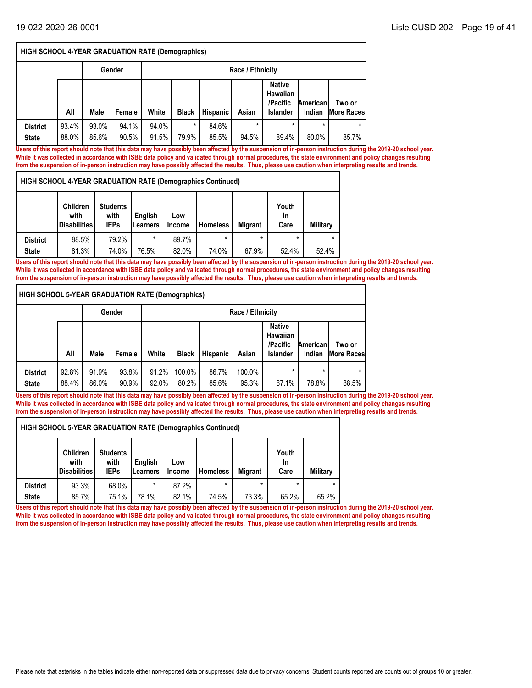|                                 | HIGH SCHOOL 4-YEAR GRADUATION RATE (Demographics) |                |                |                |                  |                 |                  |                                                          |                    |                             |  |  |  |
|---------------------------------|---------------------------------------------------|----------------|----------------|----------------|------------------|-----------------|------------------|----------------------------------------------------------|--------------------|-----------------------------|--|--|--|
|                                 |                                                   |                | Gender         |                | Race / Ethnicity |                 |                  |                                                          |                    |                             |  |  |  |
|                                 | All                                               | Male           | Female         | White          | <b>Black</b>     | <b>Hispanic</b> | Asian            | <b>Native</b><br>Hawaiian<br>/Pacific<br><b>Islander</b> | American<br>Indian | Two or<br><b>More Races</b> |  |  |  |
| <b>District</b><br><b>State</b> | 93.4%<br>88.0%                                    | 93.0%<br>85.6% | 94.1%<br>90.5% | 94.0%<br>91.5% | $\star$<br>79.9% | 84.6%<br>85.5%  | $\star$<br>94.5% | $\star$<br>89.4%                                         | $\star$<br>80.0%   | $\star$<br>85.7%            |  |  |  |

**Users of this report should note that this data may have possibly been affected by the suspension of in-person instruction during the 2019-20 school year. While it was collected in accordance with ISBE data policy and validated through normal procedures, the state environment and policy changes resulting from the suspension of in-person instruction may have possibly affected the results. Thus, please use caution when interpreting results and trends.**

**HIGH SCHOOL 4-YEAR GRADUATION RATE (Demographics Continued)**

|                 | <b>Children</b><br>with<br>Disabilities | <b>Students</b><br>with<br><b>IEPs</b> | English<br>l Learners l | Low<br><b>Income</b> | <b>Homeless</b> | <b>Migrant</b> | Youth<br>In<br>Care | Military |
|-----------------|-----------------------------------------|----------------------------------------|-------------------------|----------------------|-----------------|----------------|---------------------|----------|
| <b>District</b> | 88.5%                                   | 79.2%                                  | $\star$                 | 89.7%                | *               | $\star$        |                     |          |
| <b>State</b>    | 81.3%                                   | 74.0%                                  | 76.5%                   | 82.0%                | 74.0%           | 67.9%          | 52.4%               | 52.4%    |

**Users of this report should note that this data may have possibly been affected by the suspension of in-person instruction during the 2019-20 school year. While it was collected in accordance with ISBE data policy and validated through normal procedures, the state environment and policy changes resulting from the suspension of in-person instruction may have possibly affected the results. Thus, please use caution when interpreting results and trends.**

**HIGH SCHOOL 5-YEAR GRADUATION RATE (Demographics)**

|                                 |                |                | Gender         |                |                 |                | Race / Ethnicity |                                                          |                           |                             |
|---------------------------------|----------------|----------------|----------------|----------------|-----------------|----------------|------------------|----------------------------------------------------------|---------------------------|-----------------------------|
|                                 | All            | <b>Male</b>    | Female         | White          | <b>Black</b>    | Hispanic       | Asian            | <b>Native</b><br>Hawaiian<br>/Pacific<br><b>Islander</b> | <b>American</b><br>Indian | Two or<br><b>More Races</b> |
| <b>District</b><br><b>State</b> | 92.8%<br>88.4% | 91.9%<br>86.0% | 93.8%<br>90.9% | 91.2%<br>92.0% | 100.0%<br>80.2% | 86.7%<br>85.6% | 100.0%<br>95.3%  | 87.1%                                                    | $\star$<br>78.8%          | $\star$<br>88.5%            |

**Users of this report should note that this data may have possibly been affected by the suspension of in-person instruction during the 2019-20 school year. While it was collected in accordance with ISBE data policy and validated through normal procedures, the state environment and policy changes resulting from the suspension of in-person instruction may have possibly affected the results. Thus, please use caution when interpreting results and trends.**

| HIGH SCHOOL 5-YEAR GRADUATION RATE (Demographics Continued) |                                                |                                        |                     |                      |                 |                |                            |                 |  |  |
|-------------------------------------------------------------|------------------------------------------------|----------------------------------------|---------------------|----------------------|-----------------|----------------|----------------------------|-----------------|--|--|
|                                                             | <b>Children</b><br>with<br><b>Disabilities</b> | <b>Students</b><br>with<br><b>IEPs</b> | English<br>Learners | Low<br><b>Income</b> | <b>Homeless</b> | <b>Migrant</b> | Youth<br><b>In</b><br>Care | <b>Military</b> |  |  |
| <b>District</b>                                             | 93.3%                                          | 68.0%                                  | $\star$             | 87.2%                | $\star$         | $\star$        |                            |                 |  |  |
| <b>State</b>                                                | 85.7%                                          | 75.1%                                  | 78.1%               | 82.1%                | 74.5%           | 73.3%          | 65.2%                      | 65.2%           |  |  |

**Users of this report should note that this data may have possibly been affected by the suspension of in-person instruction during the 2019-20 school year. While it was collected in accordance with ISBE data policy and validated through normal procedures, the state environment and policy changes resulting from the suspension of in-person instruction may have possibly affected the results. Thus, please use caution when interpreting results and trends.**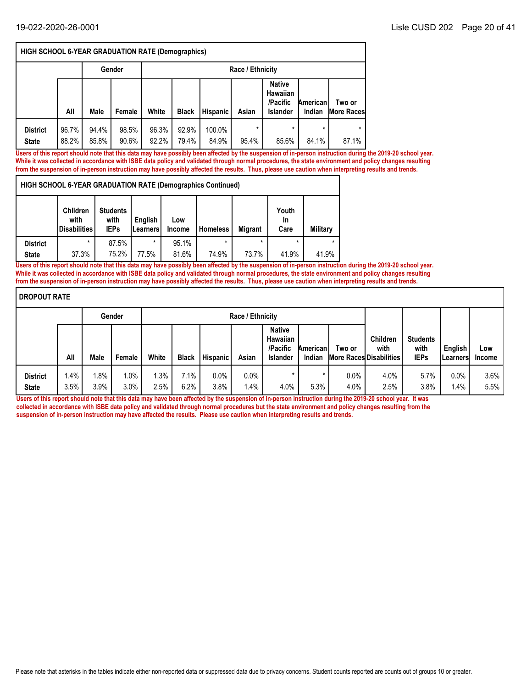**State District**

|                                 | <b>HIGH SCHOOL 6-YEAR GRADUATION RATE (Demographics)</b> |                |                |                |                |                 |                  |                                                                 |                    |                             |  |  |  |
|---------------------------------|----------------------------------------------------------|----------------|----------------|----------------|----------------|-----------------|------------------|-----------------------------------------------------------------|--------------------|-----------------------------|--|--|--|
|                                 |                                                          |                | Gender         |                |                |                 | Race / Ethnicity |                                                                 |                    |                             |  |  |  |
|                                 | All                                                      | Male           | Female         | White          | <b>Black</b>   | <b>Hispanic</b> | Asian            | <b>Native</b><br><b>Hawaiian</b><br>/Pacific<br><b>Islander</b> | American<br>Indian | Two or<br><b>More Races</b> |  |  |  |
| <b>District</b><br><b>State</b> | 96.7%<br>88.2%                                           | 94.4%<br>85.8% | 98.5%<br>90.6% | 96.3%<br>92.2% | 92.9%<br>79.4% | 100.0%<br>84.9% | $\star$<br>95.4% | $\star$<br>85.6%                                                | $\star$<br>84.1%   | $\star$<br>87.1%            |  |  |  |

**Users of this report should note that this data may have possibly been affected by the suspension of in-person instruction during the 2019-20 school year. While it was collected in accordance with ISBE data policy and validated through normal procedures, the state environment and policy changes resulting from the suspension of in-person instruction may have possibly affected the results. Thus, please use caution when interpreting results and trends.**

| <b>HIGH SCHOOL 6-YEAR GRADUATION RATE (Demographics Continued)</b> |                                                |                                        |                             |                      |                 |                |                     |          |
|--------------------------------------------------------------------|------------------------------------------------|----------------------------------------|-----------------------------|----------------------|-----------------|----------------|---------------------|----------|
|                                                                    | <b>Children</b><br>with<br><b>Disabilities</b> | <b>Students</b><br>with<br><b>IEPs</b> | Enalish<br><b>ILearners</b> | Low<br><b>Income</b> | <b>Homeless</b> | <b>Migrant</b> | Youth<br>In<br>Care | Military |

95.1%

\*

87.5%

37.3% | 75.2% | 77.5% | 81.6% | 74.9% | 73.7% | 41.9% | 41.9% 77.5% 75.2% 81.6% **Users of this report should note that this data may have possibly been affected by the suspension of in-person instruction during the 2019-20 school year. While it was collected in accordance with ISBE data policy and validated through normal procedures, the state environment and policy changes resulting from the suspension of in-person instruction may have possibly affected the results. Thus, please use caution when interpreting results and trends.**

\* | 87.5% | \* | 95.1% | \* | \* | \* | \* |

| <b>DROPOUT RATE</b>             |              |                 |              |             |              |                 |                  |                                                                 |                    |              |                                                           |                                        |                             |                      |
|---------------------------------|--------------|-----------------|--------------|-------------|--------------|-----------------|------------------|-----------------------------------------------------------------|--------------------|--------------|-----------------------------------------------------------|----------------------------------------|-----------------------------|----------------------|
|                                 |              |                 | Gender       |             |              |                 | Race / Ethnicity |                                                                 |                    |              |                                                           |                                        |                             |                      |
|                                 | All          | Male            | Female       | White       | <b>Black</b> | <b>Hispanic</b> | Asian            | <b>Native</b><br><b>Hawaiian</b><br>/Pacific<br><b>Islander</b> | American<br>Indian | Two or       | <b>Children</b><br>with<br><b>More Races Disabilities</b> | <b>Students</b><br>with<br><b>IEPs</b> | English<br><b>ILearners</b> | Low<br><b>Income</b> |
| <b>District</b><br><b>State</b> | 1.4%<br>3.5% | $1.8\%$<br>3.9% | 1.0%<br>3.0% | .3%<br>2.5% | 7.1%<br>6.2% | $0.0\%$<br>3.8% | $0.0\%$<br>1.4%  | 4.0%                                                            | 5.3%               | 0.0%<br>4.0% | 4.0%<br>2.5%                                              | 5.7%<br>3.8%                           | 0.0%<br>1.4%                | $3.6\%$<br>$5.5\%$   |

**Users of this report should note that this data may have been affected by the suspension of in-person instruction during the 2019-20 school year. It was collected in accordance with ISBE data policy and validated through normal procedures but the state environment and policy changes resulting from the suspension of in-person instruction may have affected the results. Please use caution when interpreting results and trends.**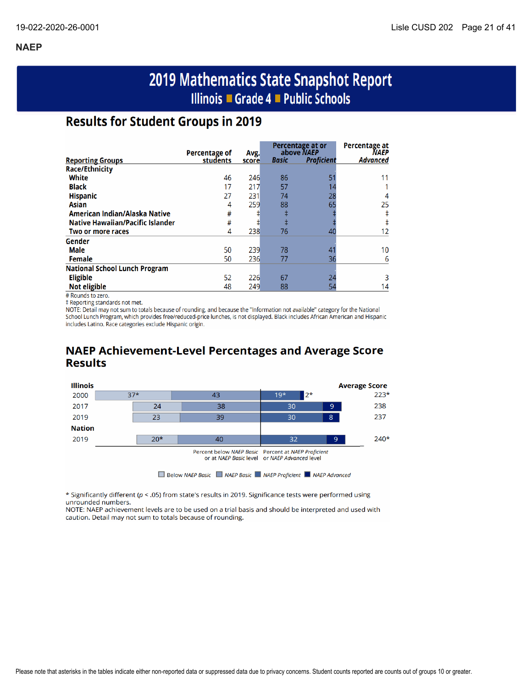# 2019 Mathematics State Snapshot Report Illinois ■ Grade 4 ■ Public Schools

# **Results for Student Groups in 2019**

|                                         | Percentage of |               |       | Percentage at or<br>above NAEP | Percentage at<br><b>NAEP</b> |
|-----------------------------------------|---------------|---------------|-------|--------------------------------|------------------------------|
| <b>Reporting Groups</b>                 | students      | Avg.<br>score | Basic | <b>Proficient</b>              | <b>Advanced</b>              |
| <b>Race/Ethnicity</b>                   |               |               |       |                                |                              |
| White                                   | 46            | 246           | 86    | 51                             |                              |
| <b>Black</b>                            | 17            | 217           | 57    |                                |                              |
| <b>Hispanic</b>                         | 27            | 231           | 74    | 28                             | 4                            |
| <b>Asian</b>                            | 4             | 259           | 88    | 65                             | 25                           |
| American Indian/Alaska Native           | #             |               | ŧ     |                                |                              |
| <b>Native Hawaiian/Pacific Islander</b> | #             | ‡             | ŧ     |                                |                              |
| Two or more races                       | 4             | 238           | 76    | 40                             | 12                           |
| Gender                                  |               |               |       |                                |                              |
| Male                                    | 50            | 239           | 78    | 4                              | 10                           |
| <b>Female</b>                           | 50            | 236           | 77    | 36                             | 6                            |
| <b>National School Lunch Program</b>    |               |               |       |                                |                              |
| <b>Eligible</b>                         | 52            | 226           | 67    | 24                             |                              |
| <b>Not eligible</b>                     | 48            | 249           | 88    | 54                             | 14                           |

# Rounds to zero.

‡ Reporting standards not met.

NOTE: Detail may not sum to totals because of rounding, and because the "Information not available" category for the National School Lunch Program, which provides free/reduced-price lunches, is not displayed. Black includes African American and Hispanic includes Latino. Race categories exclude Hispanic origin.

# **NAEP Achievement-Level Percentages and Average Score Results**



\* Significantly different (p < .05) from state's results in 2019. Significance tests were performed using unrounded numbers.

NOTE: NAEP achievement levels are to be used on a trial basis and should be interpreted and used with caution. Detail may not sum to totals because of rounding.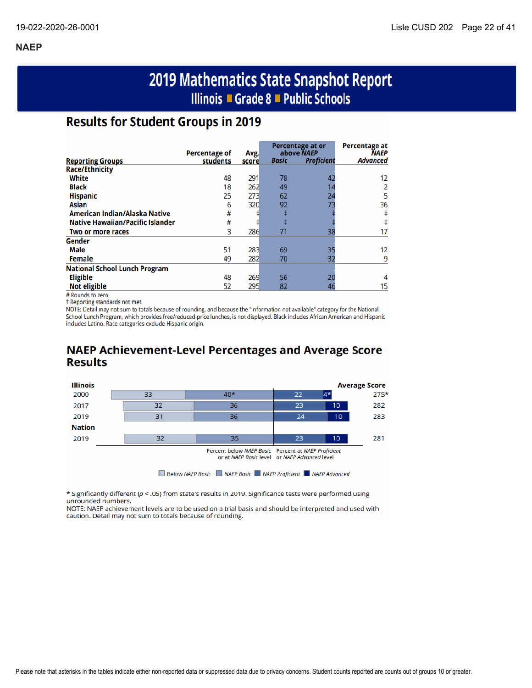# 2019 Mathematics State Snapshot Report Illinois ■ Grade 8 ■ Public Schools

# **Results for Student Groups in 2019**

|                                         | Percentage of |               |              | Percentage at or<br>above NAEP | <b>Percentage at</b><br><b>NAEP</b> |
|-----------------------------------------|---------------|---------------|--------------|--------------------------------|-------------------------------------|
| <b>Reporting Groups</b>                 | students      | Avg.<br>score | <b>Basic</b> | <b>Proficient</b>              | <b>Advanced</b>                     |
| <b>Race/Ethnicity</b>                   |               |               |              |                                |                                     |
| White                                   | 48            | 291           | 78           | 42                             | 12                                  |
| <b>Black</b>                            | 18            | 262           | 49           |                                |                                     |
| <b>Hispanic</b>                         | 25            | 273           | 62           | 24                             |                                     |
| Asian                                   | 6             | 320           | 92           | 73                             | 36                                  |
| American Indian/Alaska Native           | #             |               |              |                                |                                     |
| <b>Native Hawaiian/Pacific Islander</b> | #             |               |              |                                |                                     |
| Two or more races                       | 3             | 286           | 71           | 38                             |                                     |
| Gender                                  |               |               |              |                                |                                     |
| <b>Male</b>                             | 51            | 283           | 69           | 35                             | 12                                  |
| <b>Female</b>                           | 49            | 282           | 70           | 32                             | 9                                   |
| <b>National School Lunch Program</b>    |               |               |              |                                |                                     |
| <b>Eligible</b>                         | 48            | 269           | 56           | 20                             |                                     |
| <b>Not eligible</b>                     | 52            | 295           | 82           | 46                             | 15                                  |

# Rounds to zero.

‡ Reporting standards not met.

NOTE: Detail may not sum to totals because of rounding, and because the "Information not available" category for the National School Lunch Program, which provides free/reduced-price lunches, is not displayed. Black includes African American and Hispanic includes Latino. Race categories exclude Hispanic origin.

# **NAEP Achievement-Level Percentages and Average Score Results**



\* Significantly different ( $p <$  .05) from state's results in 2019. Significance tests were performed using unrounded numbers.

NOTE: NAEP achievement levels are to be used on a trial basis and should be interpreted and used with caution. Detail may not sum to totals because of rounding.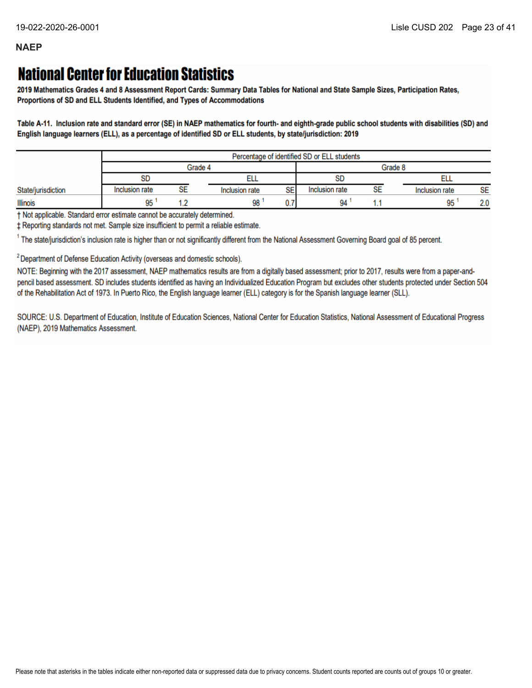# **National Center for Education Statistics**

2019 Mathematics Grades 4 and 8 Assessment Report Cards: Summary Data Tables for National and State Sample Sizes, Participation Rates, Proportions of SD and ELL Students Identified, and Types of Accommodations

Table A-11. Inclusion rate and standard error (SE) in NAEP mathematics for fourth- and eighth-grade public school students with disabilities (SD) and English language learners (ELL), as a percentage of identified SD or ELL students, by state/jurisdiction: 2019

|                    |                |    | Percentage of identified SD or ELL students |                |         |                |           |
|--------------------|----------------|----|---------------------------------------------|----------------|---------|----------------|-----------|
|                    |                |    | Grade 4                                     |                | Grade 8 |                |           |
|                    | <b>SD</b>      |    |                                             | <b>SD</b>      |         |                |           |
| State/jurisdiction | Inclusion rate | SE | SE<br>Inclusion rate                        | Inclusion rate | SE      | Inclusion rate | <b>SE</b> |
| <b>Illinois</b>    | 95             |    | 98                                          | 94             |         | 95             | 2.0       |

† Not applicable. Standard error estimate cannot be accurately determined.

± Reporting standards not met. Sample size insufficient to permit a reliable estimate.

<sup>1</sup> The state/jurisdiction's inclusion rate is higher than or not significantly different from the National Assessment Governing Board goal of 85 percent.

<sup>2</sup> Department of Defense Education Activity (overseas and domestic schools).

NOTE: Beginning with the 2017 assessment, NAEP mathematics results are from a digitally based assessment; prior to 2017, results were from a paper-andpencil based assessment. SD includes students identified as having an Individualized Education Program but excludes other students protected under Section 504 of the Rehabilitation Act of 1973. In Puerto Rico, the English language learner (ELL) category is for the Spanish language learner (SLL).

SOURCE: U.S. Department of Education, Institute of Education Sciences, National Center for Education Statistics, National Assessment of Educational Progress (NAEP), 2019 Mathematics Assessment.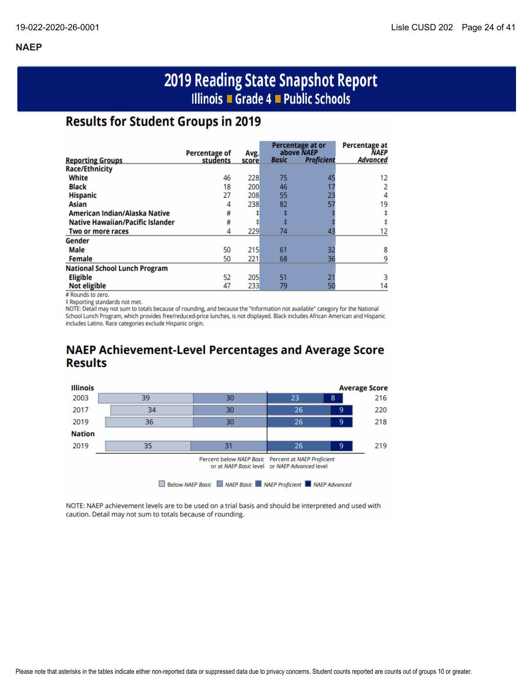# 2019 Reading State Snapshot Report Illinois ■ Grade 4 ■ Public Schools

# **Results for Student Groups in 2019**

|                                         | <b>Percentage of</b> |               |              | Percentage at or<br>above NAEP | <b>Percentage at</b><br><b>NAEP</b> |
|-----------------------------------------|----------------------|---------------|--------------|--------------------------------|-------------------------------------|
| <b>Reporting Groups</b>                 | students             | Avg.<br>score | <b>Basic</b> | <b>Proficient</b>              | <b>Advanced</b>                     |
| <b>Race/Ethnicity</b>                   |                      |               |              |                                |                                     |
| White                                   | 46                   | 228           | 75           | 45                             | 12                                  |
| <b>Black</b>                            | 18                   | 200           | 46           |                                |                                     |
| <b>Hispanic</b>                         | 27                   | 208           | 55           | 23                             | 4                                   |
| Asian                                   | 4                    | 238           | 82           | 57                             | 19                                  |
| American Indian/Alaska Native           | #                    |               |              |                                |                                     |
| <b>Native Hawaiian/Pacific Islander</b> | #                    |               |              |                                |                                     |
| Two or more races                       | 4                    | 229           | 74           | 43                             |                                     |
| Gender                                  |                      |               |              |                                |                                     |
| Male                                    | 50                   | 215           | 61           | 32                             | 8                                   |
| <b>Female</b>                           | 50                   | 221           | 68           | 36                             |                                     |
| <b>National School Lunch Program</b>    |                      |               |              |                                |                                     |
| <b>Eligible</b>                         | 52                   | 205           | 51           |                                |                                     |
| <b>Not eligible</b>                     | 47                   | 233           | 79           |                                | 14                                  |

# Rounds to zero.

‡ Reporting standards not met.

NOTE: Detail may not sum to totals because of rounding, and because the "Information not available" category for the National School Lunch Program, which provides free/reduced-price lunches, is not displayed. Black includes African American and Hispanic includes Latino. Race categories exclude Hispanic origin.

# **NAEP Achievement-Level Percentages and Average Score Results**



NOTE: NAEP achievement levels are to be used on a trial basis and should be interpreted and used with caution. Detail may not sum to totals because of rounding.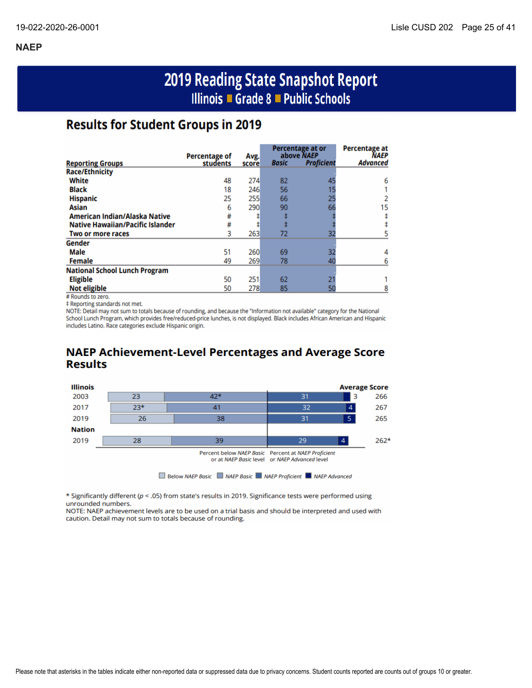# 2019 Reading State Snapshot Report Illinois ■ Grade 8 ■ Public Schools

# **Results for Student Groups in 2019**

|                                         |                                  |       |              | Percentage at or                | Percentage at           |
|-----------------------------------------|----------------------------------|-------|--------------|---------------------------------|-------------------------|
|                                         | <b>Percentage of</b><br>students | Avg.  | <b>Basic</b> | above NAEP<br><b>Proficient</b> | NAEP<br><b>Advanced</b> |
| <b>Reporting Groups</b>                 |                                  | score |              |                                 |                         |
| <b>Race/Ethnicity</b>                   |                                  |       |              |                                 |                         |
| White                                   | 48                               | 274   | 82           | 45                              | 6                       |
| <b>Black</b>                            | 18                               | 246   | 56           |                                 |                         |
| <b>Hispanic</b>                         | 25                               | 255   | 66           | 25                              |                         |
| Asian                                   | 6                                | 290   | 90           | 66                              | 15                      |
| American Indian/Alaska Native           | #                                |       |              |                                 |                         |
| <b>Native Hawaiian/Pacific Islander</b> | #                                |       |              |                                 |                         |
| Two or more races                       | 3                                | 263   | 72           | 32                              |                         |
| Gender                                  |                                  |       |              |                                 |                         |
| <b>Male</b>                             | 51                               | 260   | 69           | 32                              |                         |
| <b>Female</b>                           | 49                               | 269   | 78           | 40                              |                         |
| <b>National School Lunch Program</b>    |                                  |       |              |                                 |                         |
| <b>Eligible</b>                         | 50                               | 251   | 62           |                                 |                         |
| <b>Not eligible</b>                     | 50                               | 278   | 85           | 50                              |                         |

# Rounds to zero.

# Reporting standards not met.

NOTE: Detail may not sum to totals because of rounding, and because the "Information not available" category for the National School Lunch Program, which provides free/reduced-price lunches, is not displayed. Black includes African American and Hispanic includes Latino. Race categories exclude Hispanic origin.

# **NAEP Achievement-Level Percentages and Average Score Results**



\* Significantly different ( $p < .05$ ) from state's results in 2019. Significance tests were performed using unrounded numbers.

NOTE: NAEP achievement levels are to be used on a trial basis and should be interpreted and used with caution. Detail may not sum to totals because of rounding.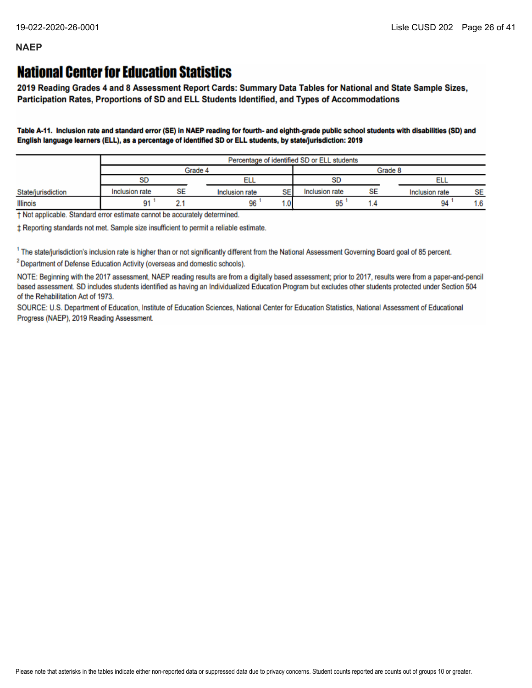# **National Center for Education Statistics**

2019 Reading Grades 4 and 8 Assessment Report Cards: Summary Data Tables for National and State Sample Sizes, Participation Rates, Proportions of SD and ELL Students Identified, and Types of Accommodations

Table A-11. Inclusion rate and standard error (SE) in NAEP reading for fourth- and eighth-grade public school students with disabilities (SD) and English language learners (ELL), as a percentage of identified SD or ELL students, by state/jurisdiction: 2019

|                    |                |    |                |              | Percentage of identified SD or ELL students |           |                |           |  |
|--------------------|----------------|----|----------------|--------------|---------------------------------------------|-----------|----------------|-----------|--|
|                    |                |    | Grade 4        |              |                                             |           | Grade 8        |           |  |
|                    | <b>SD</b>      |    |                |              | SD                                          |           |                |           |  |
| State/jurisdiction | Inclusion rate | SE | Inclusion rate | SE           | Inclusion rate                              | <b>SE</b> | Inclusion rate | <b>SE</b> |  |
| Illinois           | 91             |    | 96             | $.0^{\circ}$ | ŌŔ<br>JU                                    |           | 94             | 1.6       |  |

† Not applicable. Standard error estimate cannot be accurately determined.

± Reporting standards not met. Sample size insufficient to permit a reliable estimate.

<sup>1</sup> The state/jurisdiction's inclusion rate is higher than or not significantly different from the National Assessment Governing Board goal of 85 percent.

<sup>2</sup> Department of Defense Education Activity (overseas and domestic schools).

NOTE: Beginning with the 2017 assessment, NAEP reading results are from a digitally based assessment; prior to 2017, results were from a paper-and-pencil based assessment. SD includes students identified as having an Individualized Education Program but excludes other students protected under Section 504 of the Rehabilitation Act of 1973.

SOURCE: U.S. Department of Education, Institute of Education Sciences, National Center for Education Statistics, National Assessment of Educational Progress (NAEP), 2019 Reading Assessment.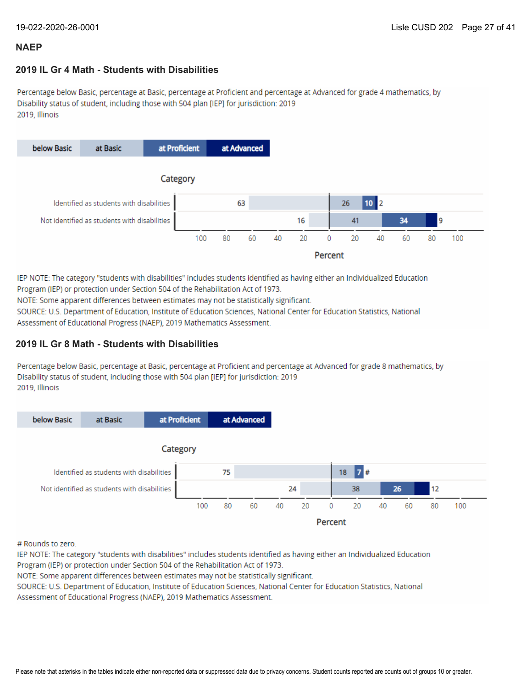### **2019 IL Gr 4 Math - Students with Disabilities**

Percentage below Basic, percentage at Basic, percentage at Proficient and percentage at Advanced for grade 4 mathematics, by Disability status of student, including those with 504 plan [IEP] for jurisdiction: 2019 2019, Illinois



IEP NOTE: The category "students with disabilities" includes students identified as having either an Individualized Education Program (IEP) or protection under Section 504 of the Rehabilitation Act of 1973.

NOTE: Some apparent differences between estimates may not be statistically significant.

SOURCE: U.S. Department of Education, Institute of Education Sciences, National Center for Education Statistics, National Assessment of Educational Progress (NAEP), 2019 Mathematics Assessment.

### **2019 IL Gr 8 Math - Students with Disabilities**

Percentage below Basic, percentage at Basic, percentage at Proficient and percentage at Advanced for grade 8 mathematics, by Disability status of student, including those with 504 plan [IEP] for jurisdiction: 2019 2019, Illinois



# Rounds to zero.

IEP NOTE: The category "students with disabilities" includes students identified as having either an Individualized Education Program (IEP) or protection under Section 504 of the Rehabilitation Act of 1973.

NOTE: Some apparent differences between estimates may not be statistically significant.

SOURCE: U.S. Department of Education, Institute of Education Sciences, National Center for Education Statistics, National Assessment of Educational Progress (NAEP), 2019 Mathematics Assessment.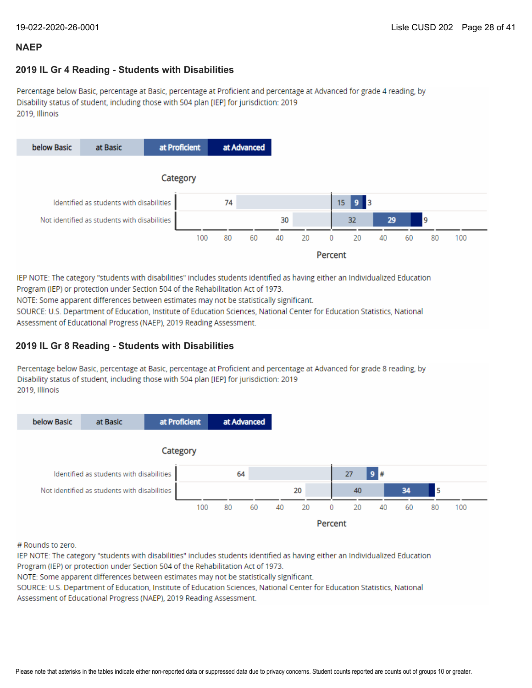### **2019 IL Gr 4 Reading - Students with Disabilities**

Percentage below Basic, percentage at Basic, percentage at Proficient and percentage at Advanced for grade 4 reading, by Disability status of student, including those with 504 plan [IEP] for jurisdiction: 2019 2019, Illinois



IEP NOTE: The category "students with disabilities" includes students identified as having either an Individualized Education Program (IEP) or protection under Section 504 of the Rehabilitation Act of 1973.

NOTE: Some apparent differences between estimates may not be statistically significant.

SOURCE: U.S. Department of Education, Institute of Education Sciences, National Center for Education Statistics, National Assessment of Educational Progress (NAEP), 2019 Reading Assessment.

### **2019 IL Gr 8 Reading - Students with Disabilities**

Percentage below Basic, percentage at Basic, percentage at Proficient and percentage at Advanced for grade 8 reading, by Disability status of student, including those with 504 plan [IEP] for jurisdiction: 2019 2019. Illinois



# Rounds to zero.

IEP NOTE: The category "students with disabilities" includes students identified as having either an Individualized Education Program (IEP) or protection under Section 504 of the Rehabilitation Act of 1973.

NOTE: Some apparent differences between estimates may not be statistically significant.

SOURCE: U.S. Department of Education, Institute of Education Sciences, National Center for Education Statistics, National Assessment of Educational Progress (NAEP), 2019 Reading Assessment.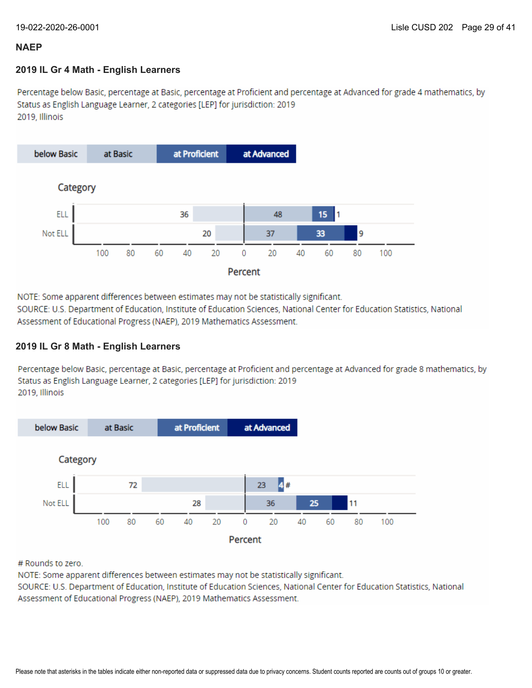### **2019 IL Gr 4 Math - English Learners**

Percentage below Basic, percentage at Basic, percentage at Proficient and percentage at Advanced for grade 4 mathematics, by Status as English Language Learner, 2 categories [LEP] for jurisdiction: 2019 2019. Illinois



NOTE: Some apparent differences between estimates may not be statistically significant.

SOURCE: U.S. Department of Education, Institute of Education Sciences, National Center for Education Statistics, National Assessment of Educational Progress (NAEP), 2019 Mathematics Assessment.

### **2019 IL Gr 8 Math - English Learners**

Percentage below Basic, percentage at Basic, percentage at Proficient and percentage at Advanced for grade 8 mathematics, by Status as English Language Learner, 2 categories [LEP] for jurisdiction: 2019 2019. Illinois



# Rounds to zero.

NOTE: Some apparent differences between estimates may not be statistically significant.

SOURCE: U.S. Department of Education, Institute of Education Sciences, National Center for Education Statistics, National Assessment of Educational Progress (NAEP), 2019 Mathematics Assessment.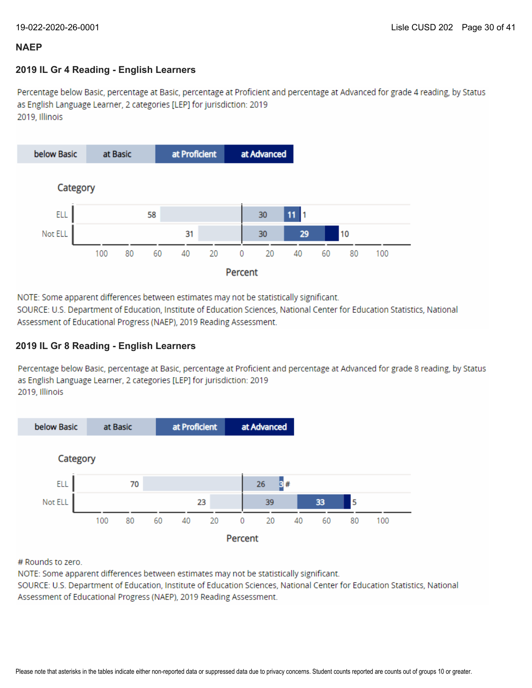### **2019 IL Gr 4 Reading - English Learners**

Percentage below Basic, percentage at Basic, percentage at Proficient and percentage at Advanced for grade 4 reading, by Status as English Language Learner, 2 categories [LEP] for jurisdiction: 2019 2019, Illinois



NOTE: Some apparent differences between estimates may not be statistically significant.

SOURCE: U.S. Department of Education, Institute of Education Sciences, National Center for Education Statistics, National Assessment of Educational Progress (NAEP), 2019 Reading Assessment.

### **2019 IL Gr 8 Reading - English Learners**

Percentage below Basic, percentage at Basic, percentage at Proficient and percentage at Advanced for grade 8 reading, by Status as English Language Learner, 2 categories [LEP] for jurisdiction: 2019 2019, Illinois



# Rounds to zero.

NOTE: Some apparent differences between estimates may not be statistically significant.

SOURCE: U.S. Department of Education, Institute of Education Sciences, National Center for Education Statistics, National Assessment of Educational Progress (NAEP), 2019 Reading Assessment.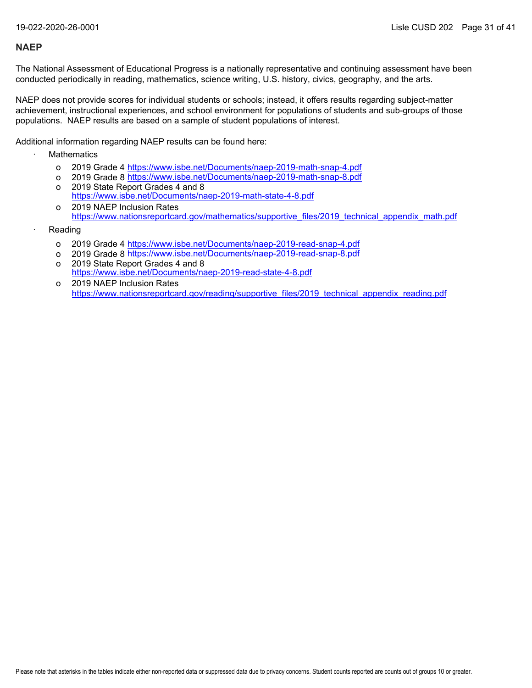The National Assessment of Educational Progress is a nationally representative and continuing assessment have been conducted periodically in reading, mathematics, science writing, U.S. history, civics, geography, and the arts.

NAEP does not provide scores for individual students or schools; instead, it offers results regarding subject-matter achievement, instructional experiences, and school environment for populations of students and sub-groups of those populations. NAEP results are based on a sample of student populations of interest.

Additional information regarding NAEP results can be found here:

- **Mathematics** 
	- o 2019 Grade 4 <u><https://www.isbe.net/Documents/naep-2019-math-snap-4.pdf></u>
	- o 2019 Grade 8 <u><https://www.isbe.net/Documents/naep-2019-math-snap-8.pdf></u>
	- o 2019 State Report Grades 4 and 8 <https://www.isbe.net/Documents/naep-2019-math-state-4-8.pdf>
	- o 2019 NAEP Inclusion Rates [https://www.nationsreportcard.gov/mathematics/supportive\\_files/2019\\_technical\\_appendix\\_math.pdf](https://www.nationsreportcard.gov/mathematics/supportive_files/2019_technical_appendix_math.pdf)
- **Reading** 
	- o 2019 Grade 4 <u><https://www.isbe.net/Documents/naep-2019-read-snap-4.pdf></u>
	- o 2019 Grade 8 <u><https://www.isbe.net/Documents/naep-2019-read-snap-8.pdf></u>
	- o 2019 State Report Grades 4 and 8 <https://www.isbe.net/Documents/naep-2019-read-state-4-8.pdf>
	- o 2019 NAEP Inclusion Rates [https://www.nationsreportcard.gov/reading/supportive\\_files/2019\\_technical\\_appendix\\_reading.pdf](https://www.nationsreportcard.gov/reading/supportive_files/2019_technical_appendix_reading.pdf)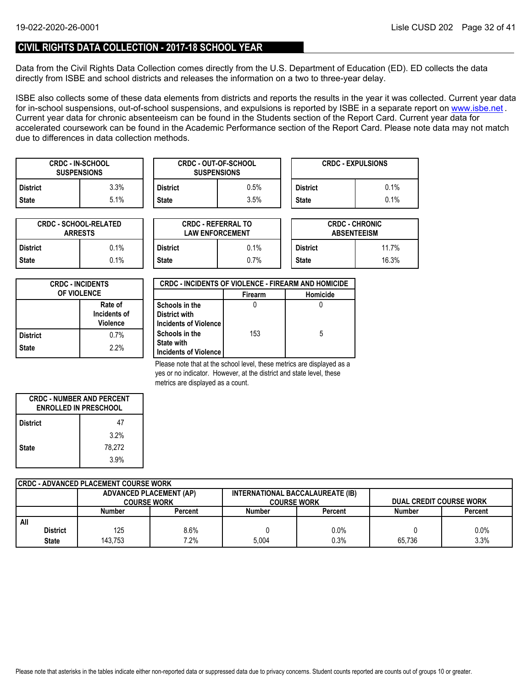### **CIVIL RIGHTS DATA COLLECTION - 2017-18 SCHOOL YEAR**

Data from the Civil Rights Data Collection comes directly from the U.S. Department of Education (ED). ED collects the data directly from ISBE and school districts and releases the information on a two to three-year delay.

ISBE also collects some of these data elements from districts and reports the results in the year it was collected. Current year data forin-school suspensions, out-of-school suspensions, and expulsions is reported by ISBE in a separate report on <u>www.isbe.net</u> . Current year data for chronic absenteeism can be found in the Students section of the Report Card. Current year data for accelerated coursework can be found in the Academic Performance section of the Report Card. Please note data may not match due to differences in data collection methods.

| <b>CRDC - IN-SCHOOL</b><br><b>SUSPENSIONS</b> |      |                 | <b>CRDC - OUT-OF-SCHOOL</b><br><b>SUSPENSIONS</b> |                 | <b>CRDC - EXPULSIONS</b> |
|-----------------------------------------------|------|-----------------|---------------------------------------------------|-----------------|--------------------------|
| District                                      | 3.3% | <b>District</b> | $0.5\%$                                           | <b>District</b> | 0.1%                     |
| State                                         | 5.1% | <b>State</b>    | $3.5\%$                                           | <b>State</b>    | 0.1%                     |

| <b>CRDC - SCHOOL-RELATED</b><br><b>ARRESTS</b> |         |  |  |  |  |
|------------------------------------------------|---------|--|--|--|--|
| <b>District</b>                                | $0.1\%$ |  |  |  |  |
| $0.1\%$<br><b>State</b>                        |         |  |  |  |  |

| TED     |                 | <b>CRDC - REFERRAL TO</b><br><b>LAW ENFORCEMENT</b> | <b>CRDC - CHRONIC</b><br><b>ABSENTEEISM</b> |       |  |
|---------|-----------------|-----------------------------------------------------|---------------------------------------------|-------|--|
| $0.1\%$ | <b>District</b> | 0.1%                                                | <b>District</b>                             | 11.7% |  |
| $0.1\%$ | <b>State</b>    | 0.7%                                                |                                             | 16.3% |  |

| <b>CRDC - INCIDENTS</b><br><b>OF VIOLENCE</b> |      |  |  |
|-----------------------------------------------|------|--|--|
| Rate of<br>Incidents of<br><b>Violence</b>    |      |  |  |
| <b>District</b>                               | 0.7% |  |  |
| <b>State</b>                                  | 2.2% |  |  |

| <b>CRDC - INCIDENTS OF VIOLENCE - FIREARM AND HOMICIDE</b> |                |          |  |  |  |  |
|------------------------------------------------------------|----------------|----------|--|--|--|--|
|                                                            | <b>Firearm</b> | Homicide |  |  |  |  |
| Schools in the                                             |                |          |  |  |  |  |
| District with                                              |                |          |  |  |  |  |
| Incidents of Violence                                      |                |          |  |  |  |  |
| Schools in the                                             | 153            | 5        |  |  |  |  |
| <b>State with</b>                                          |                |          |  |  |  |  |
| Incidents of Violence                                      |                |          |  |  |  |  |

Please note that at the school level, these metrics are displayed as a yes or no indicator. However, at the district and state level, these metrics are displayed as a count.

| <b>CRDC - NUMBER AND PERCENT</b><br><b>ENROLLED IN PRESCHOOL</b> |        |  |  |  |
|------------------------------------------------------------------|--------|--|--|--|
| <b>District</b>                                                  | 47     |  |  |  |
|                                                                  | 3.2%   |  |  |  |
| <b>State</b>                                                     | 78.272 |  |  |  |
|                                                                  | 3.9%   |  |  |  |

|     | CRDC - ADVANCED PLACEMENT COURSE WORK |                                |         |                                  |         |                                |         |  |  |  |
|-----|---------------------------------------|--------------------------------|---------|----------------------------------|---------|--------------------------------|---------|--|--|--|
|     |                                       | <b>ADVANCED PLACEMENT (AP)</b> |         | INTERNATIONAL BACCALAUREATE (IB) |         |                                |         |  |  |  |
|     |                                       | <b>COURSE WORK</b>             |         | <b>COURSE WORK</b>               |         | <b>DUAL CREDIT COURSE WORK</b> |         |  |  |  |
|     |                                       | Number                         | Percent | <b>Number</b>                    | Percent | <b>Number</b>                  | Percent |  |  |  |
| All |                                       |                                |         |                                  |         |                                |         |  |  |  |
|     | <b>District</b>                       | 125                            | 8.6%    |                                  | 0.0%    |                                | 0.0%    |  |  |  |
|     | <b>State</b>                          | 143.753                        | 7.2%    | 5.004                            | 0.3%    | 65.736                         | 3.3%    |  |  |  |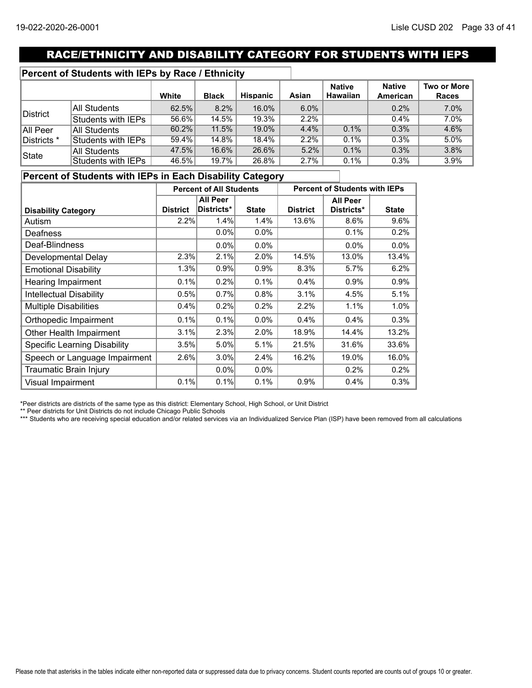# RACE/ETHNICITY AND DISABILITY CATEGORY FOR STUDENTS WITH IEPS

### **Percent of Students with IEPs by Race / Ethnicity**

|             |                    | White    | <b>Black</b> | <b>Hispanic</b> | Asian   | <b>Native</b><br><b>Hawaiian</b> | <b>Native</b><br><b>American</b> | Two or More<br>Races |
|-------------|--------------------|----------|--------------|-----------------|---------|----------------------------------|----------------------------------|----------------------|
|             | All Students       | 62.5%    | 8.2%         | 16.0%           | $6.0\%$ |                                  | 0.2%                             | 7.0%                 |
| District    | Students with IEPs | $56.6\%$ | 14.5%        | 19.3%           | 2.2%    |                                  | 0.4%                             | 7.0%                 |
| All Peer    | All Students       | 60.2%    | 11.5%        | 19.0%           | 4.4%    | 0.1%                             | 0.3%                             | 4.6%                 |
| Districts * | Students with IEPs | 59.4%    | 14.8%        | 18.4%           | 2.2%    | $0.1\%$                          | 0.3%                             | 5.0%                 |
| State       | All Students       | 47.5%    | 16.6%        | 26.6%           | 5.2%    | 0.1%                             | 0.3%                             | 3.8%                 |
|             | Students with IEPs | 46.5%    | 19.7%        | 26.8%           | 2.7%    | 0.1%                             | 0.3%                             | 3.9%                 |

### **Percent of Students with IEPs in Each Disability Category**

|                                     | <b>Percent of All Students</b> |                 | <b>Percent of Students with IEPs</b> |                 |                 |              |
|-------------------------------------|--------------------------------|-----------------|--------------------------------------|-----------------|-----------------|--------------|
|                                     |                                | <b>All Peer</b> |                                      |                 | <b>All Peer</b> |              |
| <b>Disability Category</b>          | <b>District</b>                | Districts*      | <b>State</b>                         | <b>District</b> | Districts*      | <b>State</b> |
| Autism                              | 2.2%                           | 1.4%            | 1.4%                                 | 13.6%           | 8.6%            | 9.6%         |
| Deafness                            |                                | 0.0%            | $0.0\%$                              |                 | 0.1%            | 0.2%         |
| Deaf-Blindness                      |                                | $0.0\%$         | $0.0\%$                              |                 | $0.0\%$         | 0.0%         |
| Developmental Delay                 | 2.3%                           | 2.1%            | 2.0%                                 | 14.5%           | 13.0%           | 13.4%        |
| <b>Emotional Disability</b>         | 1.3%                           | 0.9%            | 0.9%                                 | 8.3%            | 5.7%            | 6.2%         |
| Hearing Impairment                  | 0.1%                           | 0.2%            | 0.1%                                 | $0.4\%$         | 0.9%            | 0.9%         |
| <b>Intellectual Disability</b>      | 0.5%                           | 0.7%            | 0.8%                                 | 3.1%            | 4.5%            | 5.1%         |
| <b>Multiple Disabilities</b>        | 0.4%                           | 0.2%            | 0.2%                                 | 2.2%            | 1.1%            | 1.0%         |
| Orthopedic Impairment               | 0.1%                           | 0.1%            | $0.0\%$                              | 0.4%            | 0.4%            | 0.3%         |
| Other Health Impairment             | 3.1%                           | 2.3%            | 2.0%                                 | 18.9%           | 14.4%           | 13.2%        |
| <b>Specific Learning Disability</b> | 3.5%                           | 5.0%            | 5.1%                                 | 21.5%           | 31.6%           | 33.6%        |
| Speech or Language Impairment       | 2.6%                           | 3.0%            | 2.4%                                 | 16.2%           | 19.0%           | 16.0%        |
| Traumatic Brain Injury              |                                | $0.0\%$         | $0.0\%$                              |                 | 0.2%            | 0.2%         |
| <b>Visual Impairment</b>            | 0.1%                           | 0.1%            | 0.1%                                 | 0.9%            | 0.4%            | 0.3%         |

\*Peer districts are districts of the same type as this district: Elementary School, High School, or Unit District

\*\* Peer districts for Unit Districts do not include Chicago Public Schools

\*\*\* Students who are receiving special education and/or related services via an Individualized Service Plan (ISP) have been removed from all calculations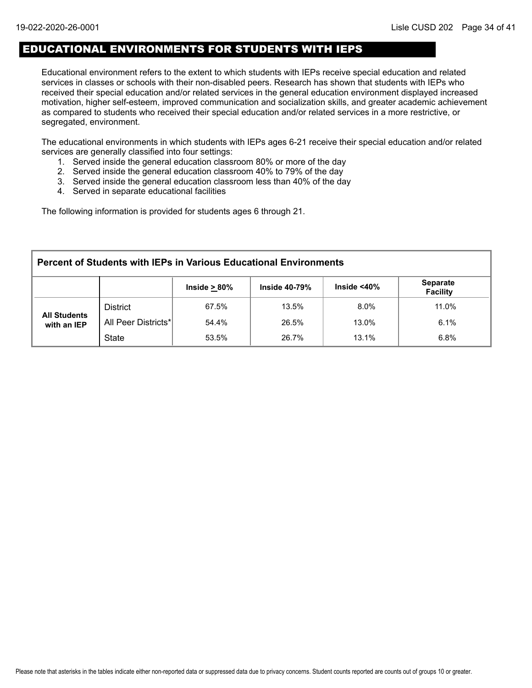# EDUCATIONAL ENVIRONMENTS FOR STUDENTS WITH IEPS

Educational environment refers to the extent to which students with IEPs receive special education and related services in classes or schools with their non-disabled peers. Research has shown that students with IEPs who received their special education and/or related services in the general education environment displayed increased motivation, higher self-esteem, improved communication and socialization skills, and greater academic achievement as compared to students who received their special education and/or related services in a more restrictive, or segregated, environment.

The educational environments in which students with IEPs ages 6-21 receive their special education and/or related services are generally classified into four settings:

- 1. Served inside the general education classroom 80% or more of the day
- 2. Served inside the general education classroom 40% to 79% of the day
- 3. Served inside the general education classroom less than 40% of the day
- 4. Served in separate educational facilities

The following information is provided for students ages 6 through 21.

| <b>Percent of Students with IEPs in Various Educational Environments</b> |                     |                    |                      |                    |                                    |  |  |  |
|--------------------------------------------------------------------------|---------------------|--------------------|----------------------|--------------------|------------------------------------|--|--|--|
|                                                                          |                     | Inside $\geq 80\%$ | <b>Inside 40-79%</b> | Inside $<$ 40 $\%$ | <b>Separate</b><br><b>Facility</b> |  |  |  |
|                                                                          | <b>District</b>     | 67.5%              | 13.5%                | $8.0\%$            | 11.0%                              |  |  |  |
| <b>All Students</b><br>with an IEP                                       | All Peer Districts* | 54.4%              | 26.5%                | 13.0%              | 6.1%                               |  |  |  |
|                                                                          | <b>State</b>        | 53.5%              | 26.7%                | 13.1%              | 6.8%                               |  |  |  |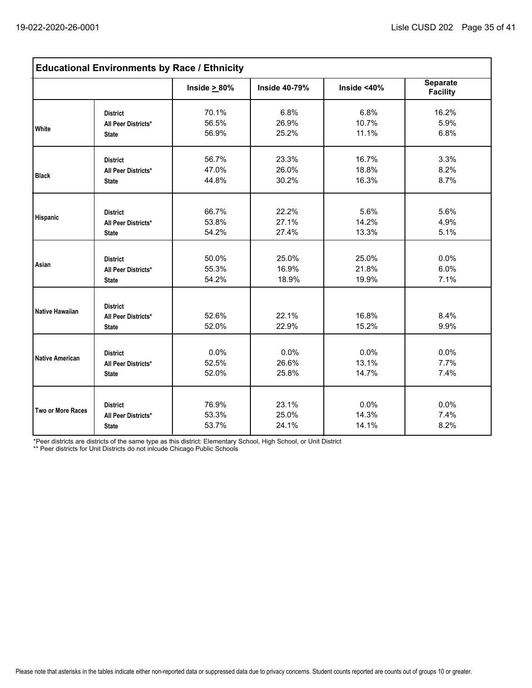| <b>Educational Environments by Race / Ethnicity</b> |                                                        |                    |                      |                |                                    |  |  |
|-----------------------------------------------------|--------------------------------------------------------|--------------------|----------------------|----------------|------------------------------------|--|--|
|                                                     |                                                        | Inside $\geq 80\%$ | <b>Inside 40-79%</b> | Inside $<$ 40% | <b>Separate</b><br><b>Facility</b> |  |  |
| <b>White</b>                                        | <b>District</b>                                        | 70.1%              | 6.8%                 | 6.8%           | 16.2%                              |  |  |
|                                                     | All Peer Districts*                                    | 56.5%              | 26.9%                | 10.7%          | 5.9%                               |  |  |
|                                                     | <b>State</b>                                           | 56.9%              | 25.2%                | 11.1%          | 6.8%                               |  |  |
| <b>Black</b>                                        | <b>District</b>                                        | 56.7%              | 23.3%                | 16.7%          | 3.3%                               |  |  |
|                                                     | All Peer Districts*                                    | 47.0%              | 26.0%                | 18.8%          | 8.2%                               |  |  |
|                                                     | <b>State</b>                                           | 44.8%              | 30.2%                | 16.3%          | 8.7%                               |  |  |
| Hispanic                                            | <b>District</b>                                        | 66.7%              | 22.2%                | 5.6%           | 5.6%                               |  |  |
|                                                     | All Peer Districts*                                    | 53.8%              | 27.1%                | 14.2%          | 4.9%                               |  |  |
|                                                     | <b>State</b>                                           | 54.2%              | 27.4%                | 13.3%          | 5.1%                               |  |  |
| Asian                                               | <b>District</b>                                        | 50.0%              | 25.0%                | 25.0%          | 0.0%                               |  |  |
|                                                     | All Peer Districts*                                    | 55.3%              | 16.9%                | 21.8%          | 6.0%                               |  |  |
|                                                     | <b>State</b>                                           | 54.2%              | 18.9%                | 19.9%          | 7.1%                               |  |  |
| Native Hawaiian                                     | <b>District</b><br>All Peer Districts*<br><b>State</b> | 52.6%<br>52.0%     | 22.1%<br>22.9%       | 16.8%<br>15.2% | 8.4%<br>9.9%                       |  |  |
| Native American                                     | <b>District</b>                                        | 0.0%               | 0.0%                 | 0.0%           | 0.0%                               |  |  |
|                                                     | All Peer Districts*                                    | 52.5%              | 26.6%                | 13.1%          | 7.7%                               |  |  |
|                                                     | <b>State</b>                                           | 52.0%              | 25.8%                | 14.7%          | 7.4%                               |  |  |
| Two or More Races                                   | <b>District</b>                                        | 76.9%              | 23.1%                | 0.0%           | 0.0%                               |  |  |
|                                                     | All Peer Districts*                                    | 53.3%              | 25.0%                | 14.3%          | 7.4%                               |  |  |
|                                                     | <b>State</b>                                           | 53.7%              | 24.1%                | 14.1%          | 8.2%                               |  |  |

\*Peer districts are districts of the same type as this district: Elementary School, High School, or Unit District

\*\* Peer districts for Unit Districts do not inlcude Chicago Public Schools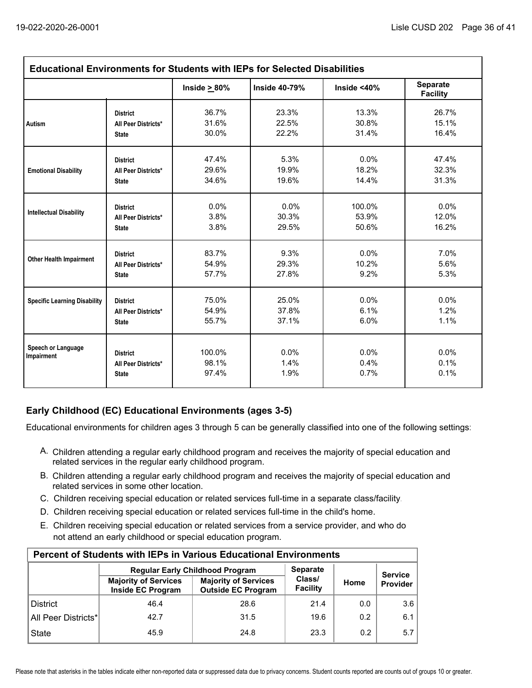| <b>Educational Environments for Students with IEPs for Selected Disabilities</b> |                                                        |                          |                      |                      |                                    |  |  |  |
|----------------------------------------------------------------------------------|--------------------------------------------------------|--------------------------|----------------------|----------------------|------------------------------------|--|--|--|
|                                                                                  |                                                        | Inside $\geq 80\%$       | <b>Inside 40-79%</b> | Inside <40%          | <b>Separate</b><br><b>Facility</b> |  |  |  |
| Autism                                                                           | <b>District</b>                                        | 36.7%                    | 23.3%                | 13.3%                | 26.7%                              |  |  |  |
|                                                                                  | All Peer Districts*                                    | 31.6%                    | 22.5%                | 30.8%                | 15.1%                              |  |  |  |
|                                                                                  | <b>State</b>                                           | 30.0%                    | 22.2%                | 31.4%                | 16.4%                              |  |  |  |
| <b>Emotional Disability</b>                                                      | <b>District</b>                                        | 47.4%                    | 5.3%                 | 0.0%                 | 47.4%                              |  |  |  |
|                                                                                  | All Peer Districts*                                    | 29.6%                    | 19.9%                | 18.2%                | 32.3%                              |  |  |  |
|                                                                                  | <b>State</b>                                           | 34.6%                    | 19.6%                | 14.4%                | 31.3%                              |  |  |  |
| <b>Intellectual Disability</b>                                                   | <b>District</b>                                        | $0.0\%$                  | $0.0\%$              | 100.0%               | 0.0%                               |  |  |  |
|                                                                                  | All Peer Districts*                                    | 3.8%                     | 30.3%                | 53.9%                | 12.0%                              |  |  |  |
|                                                                                  | <b>State</b>                                           | 3.8%                     | 29.5%                | 50.6%                | 16.2%                              |  |  |  |
| <b>Other Health Impairment</b>                                                   | <b>District</b>                                        | 83.7%                    | 9.3%                 | 0.0%                 | 7.0%                               |  |  |  |
|                                                                                  | All Peer Districts*                                    | 54.9%                    | 29.3%                | 10.2%                | 5.6%                               |  |  |  |
|                                                                                  | <b>State</b>                                           | 57.7%                    | 27.8%                | 9.2%                 | 5.3%                               |  |  |  |
| <b>Specific Learning Disability</b>                                              | <b>District</b>                                        | 75.0%                    | 25.0%                | 0.0%                 | 0.0%                               |  |  |  |
|                                                                                  | All Peer Districts*                                    | 54.9%                    | 37.8%                | 6.1%                 | 1.2%                               |  |  |  |
|                                                                                  | <b>State</b>                                           | 55.7%                    | 37.1%                | 6.0%                 | 1.1%                               |  |  |  |
| Speech or Language<br>Impairment                                                 | <b>District</b><br>All Peer Districts*<br><b>State</b> | 100.0%<br>98.1%<br>97.4% | 0.0%<br>1.4%<br>1.9% | 0.0%<br>0.4%<br>0.7% | $0.0\%$<br>0.1%<br>0.1%            |  |  |  |

## **Early Childhood (EC) Educational Environments (ages 3-5)**

Educational environments for children ages 3 through 5 can be generally classified into one of the following settings:

- A. Children attending a regular early childhood program and receives the majority of special education and related services in the regular early childhood program.
- B. Children attending a regular early childhood program and receives the majority of special education and related services in some other location.
- C. Children receiving special education or related services full-time in a separate class/facility.
- D. Children receiving special education or related services full-time in the child's home.
- E. Children receiving special education or related services from a service provider, and who do not attend an early childhood or special education program.

| <b>Percent of Students with IEPs in Various Educational Environments</b> |                                                  |                                                          |                    |      |                |  |  |  |  |  |
|--------------------------------------------------------------------------|--------------------------------------------------|----------------------------------------------------------|--------------------|------|----------------|--|--|--|--|--|
|                                                                          |                                                  | <b>Regular Early Childhood Program</b>                   | <b>Separate</b>    |      | <b>Service</b> |  |  |  |  |  |
|                                                                          | <b>Majority of Services</b><br>Inside EC Program | <b>Majority of Services</b><br><b>Outside EC Program</b> | Class/<br>Facility | Home | Provider       |  |  |  |  |  |
| <b>District</b>                                                          | 46.4                                             | 28.6                                                     | 21.4               | 0.0  | 3.6            |  |  |  |  |  |
| All Peer Districts*                                                      | 42.7                                             | 31.5                                                     | 19.6               | 0.2  | 6.1            |  |  |  |  |  |
| <b>State</b>                                                             | 45.9                                             | 24.8                                                     | 23.3               | 0.2  | 5.7            |  |  |  |  |  |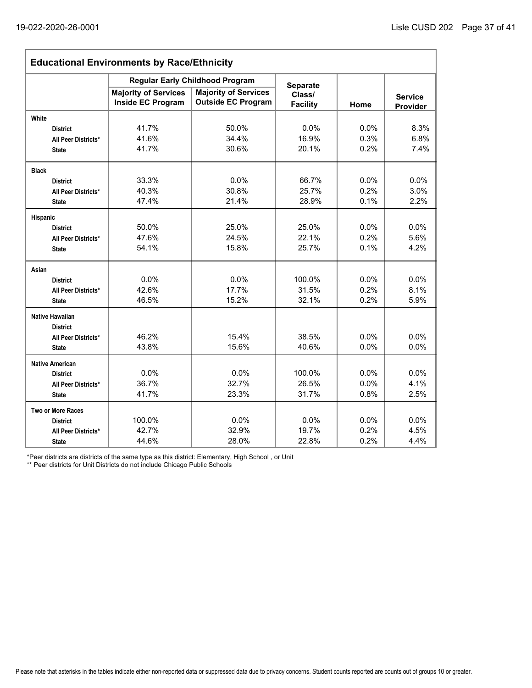| <b>Educational Environments by Race/Ethnicity</b> |                                                         |                                                          |                           |      |                            |  |  |  |
|---------------------------------------------------|---------------------------------------------------------|----------------------------------------------------------|---------------------------|------|----------------------------|--|--|--|
|                                                   | <b>Regular Early Childhood Program</b>                  | <b>Separate</b>                                          |                           |      |                            |  |  |  |
|                                                   | <b>Majority of Services</b><br><b>Inside EC Program</b> | <b>Majority of Services</b><br><b>Outside EC Program</b> | Class/<br><b>Facility</b> | Home | <b>Service</b><br>Provider |  |  |  |
| White                                             |                                                         |                                                          |                           |      |                            |  |  |  |
| <b>District</b>                                   | 41.7%                                                   | 50.0%                                                    | 0.0%                      | 0.0% | 8.3%                       |  |  |  |
| All Peer Districts*                               | 41.6%                                                   | 34.4%                                                    | 16.9%                     | 0.3% | 6.8%                       |  |  |  |
| <b>State</b>                                      | 41.7%                                                   | 30.6%                                                    | 20.1%                     | 0.2% | 7.4%                       |  |  |  |
| <b>Black</b>                                      |                                                         |                                                          |                           |      |                            |  |  |  |
| <b>District</b>                                   | 33.3%                                                   | 0.0%                                                     | 66.7%                     | 0.0% | 0.0%                       |  |  |  |
| All Peer Districts*                               | 40.3%                                                   | 30.8%                                                    | 25.7%                     | 0.2% | 3.0%                       |  |  |  |
| <b>State</b>                                      | 47.4%                                                   | 21.4%                                                    | 28.9%                     | 0.1% | 2.2%                       |  |  |  |
| Hispanic                                          |                                                         |                                                          |                           |      |                            |  |  |  |
| <b>District</b>                                   | 50.0%                                                   | 25.0%                                                    | 25.0%                     | 0.0% | 0.0%                       |  |  |  |
| All Peer Districts*                               | 47.6%                                                   | 24.5%                                                    | 22.1%                     | 0.2% | 5.6%                       |  |  |  |
| <b>State</b>                                      | 54.1%                                                   | 15.8%                                                    | 25.7%                     | 0.1% | 4.2%                       |  |  |  |
| Asian                                             |                                                         |                                                          |                           |      |                            |  |  |  |
| <b>District</b>                                   | 0.0%                                                    | 0.0%                                                     | 100.0%                    | 0.0% | 0.0%                       |  |  |  |
| All Peer Districts*                               | 42.6%                                                   | 17.7%                                                    | 31.5%                     | 0.2% | 8.1%                       |  |  |  |
| <b>State</b>                                      | 46.5%                                                   | 15.2%                                                    | 32.1%                     | 0.2% | 5.9%                       |  |  |  |
| <b>Native Hawaiian</b><br><b>District</b>         |                                                         |                                                          |                           |      |                            |  |  |  |
| All Peer Districts*                               | 46.2%                                                   | 15.4%                                                    | 38.5%                     | 0.0% | 0.0%                       |  |  |  |
| <b>State</b>                                      | 43.8%                                                   | 15.6%                                                    | 40.6%                     | 0.0% | 0.0%                       |  |  |  |
| <b>Native American</b>                            |                                                         |                                                          |                           |      |                            |  |  |  |
| <b>District</b>                                   | 0.0%                                                    | 0.0%                                                     | 100.0%                    | 0.0% | 0.0%                       |  |  |  |
| All Peer Districts*                               | 36.7%                                                   | 32.7%                                                    | 26.5%                     | 0.0% | 4.1%                       |  |  |  |
| <b>State</b>                                      | 41.7%                                                   | 23.3%                                                    | 31.7%                     | 0.8% | 2.5%                       |  |  |  |
| <b>Two or More Races</b>                          |                                                         |                                                          |                           |      |                            |  |  |  |
| <b>District</b>                                   | 100.0%                                                  | 0.0%                                                     | 0.0%                      | 0.0% | 0.0%                       |  |  |  |
| All Peer Districts*                               | 42.7%                                                   | 32.9%                                                    | 19.7%                     | 0.2% | 4.5%                       |  |  |  |
| <b>State</b>                                      | 44.6%                                                   | 28.0%                                                    | 22.8%                     | 0.2% | 4.4%                       |  |  |  |

\*Peer districts are districts of the same type as this district: Elementary, High School , or Unit

\*\* Peer districts for Unit Districts do not include Chicago Public Schools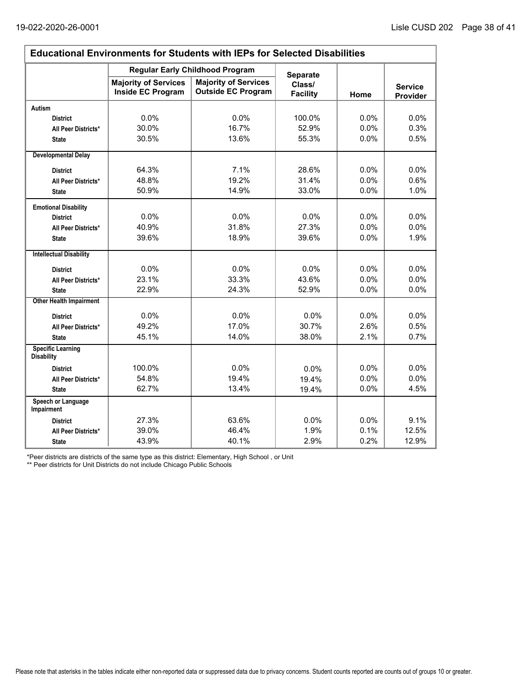$\Gamma$ 

٦

| <b>Educational Environments for Students with IEPs for Selected Disabilities</b> |                                                  |                                                          |                           |      |                            |  |  |  |
|----------------------------------------------------------------------------------|--------------------------------------------------|----------------------------------------------------------|---------------------------|------|----------------------------|--|--|--|
|                                                                                  |                                                  | <b>Regular Early Childhood Program</b>                   | <b>Separate</b>           |      |                            |  |  |  |
|                                                                                  | <b>Majority of Services</b><br>Inside EC Program | <b>Majority of Services</b><br><b>Outside EC Program</b> | Class/<br><b>Facility</b> | Home | <b>Service</b><br>Provider |  |  |  |
| <b>Autism</b>                                                                    |                                                  |                                                          |                           |      |                            |  |  |  |
| <b>District</b>                                                                  | 0.0%                                             | 0.0%                                                     | 100.0%                    | 0.0% | 0.0%                       |  |  |  |
| All Peer Districts*                                                              | 30.0%                                            | 16.7%                                                    | 52.9%                     | 0.0% | 0.3%                       |  |  |  |
| <b>State</b>                                                                     | 30.5%                                            | 13.6%                                                    | 55.3%                     | 0.0% | 0.5%                       |  |  |  |
| <b>Developmental Delay</b>                                                       |                                                  |                                                          |                           |      |                            |  |  |  |
| <b>District</b>                                                                  | 64.3%                                            | 7.1%                                                     | 28.6%                     | 0.0% | 0.0%                       |  |  |  |
| All Peer Districts*                                                              | 48.8%                                            | 19.2%                                                    | 31.4%                     | 0.0% | 0.6%                       |  |  |  |
| <b>State</b>                                                                     | 50.9%                                            | 14.9%                                                    | 33.0%                     | 0.0% | 1.0%                       |  |  |  |
| <b>Emotional Disability</b>                                                      |                                                  |                                                          |                           |      |                            |  |  |  |
| <b>District</b>                                                                  | 0.0%                                             | 0.0%                                                     | 0.0%                      | 0.0% | 0.0%                       |  |  |  |
| All Peer Districts*                                                              | 40.9%                                            | 31.8%                                                    | 27.3%                     | 0.0% | 0.0%                       |  |  |  |
| <b>State</b>                                                                     | 39.6%                                            | 18.9%                                                    | 39.6%                     | 0.0% | 1.9%                       |  |  |  |
| <b>Intellectual Disability</b>                                                   |                                                  |                                                          |                           |      |                            |  |  |  |
| <b>District</b>                                                                  | 0.0%                                             | 0.0%                                                     | 0.0%                      | 0.0% | 0.0%                       |  |  |  |
| All Peer Districts*                                                              | 23.1%                                            | 33.3%                                                    | 43.6%                     | 0.0% | 0.0%                       |  |  |  |
| <b>State</b>                                                                     | 22.9%                                            | 24.3%                                                    | 52.9%                     | 0.0% | 0.0%                       |  |  |  |
| <b>Other Health Impairment</b>                                                   |                                                  |                                                          |                           |      |                            |  |  |  |
| <b>District</b>                                                                  | 0.0%                                             | 0.0%                                                     | 0.0%                      | 0.0% | 0.0%                       |  |  |  |
| All Peer Districts*                                                              | 49.2%                                            | 17.0%                                                    | 30.7%                     | 2.6% | 0.5%                       |  |  |  |
| <b>State</b>                                                                     | 45.1%                                            | 14.0%                                                    | 38.0%                     | 2.1% | 0.7%                       |  |  |  |
| <b>Specific Learning</b><br><b>Disability</b>                                    |                                                  |                                                          |                           |      |                            |  |  |  |
| <b>District</b>                                                                  | 100.0%                                           | 0.0%                                                     | 0.0%                      | 0.0% | 0.0%                       |  |  |  |
| All Peer Districts*                                                              | 54.8%                                            | 19.4%                                                    | 19.4%                     | 0.0% | 0.0%                       |  |  |  |
| <b>State</b>                                                                     | 62.7%                                            | 13.4%                                                    | 19.4%                     | 0.0% | 4.5%                       |  |  |  |
| Speech or Language<br>Impairment                                                 |                                                  |                                                          |                           |      |                            |  |  |  |
| <b>District</b>                                                                  | 27.3%                                            | 63.6%                                                    | 0.0%                      | 0.0% | 9.1%                       |  |  |  |
| All Peer Districts*                                                              | 39.0%                                            | 46.4%                                                    | 1.9%                      | 0.1% | 12.5%                      |  |  |  |
| <b>State</b>                                                                     | 43.9%                                            | 40.1%                                                    | 2.9%                      | 0.2% | 12.9%                      |  |  |  |

\*Peer districts are districts of the same type as this district: Elementary, High School , or Unit

\*\* Peer districts for Unit Districts do not include Chicago Public Schools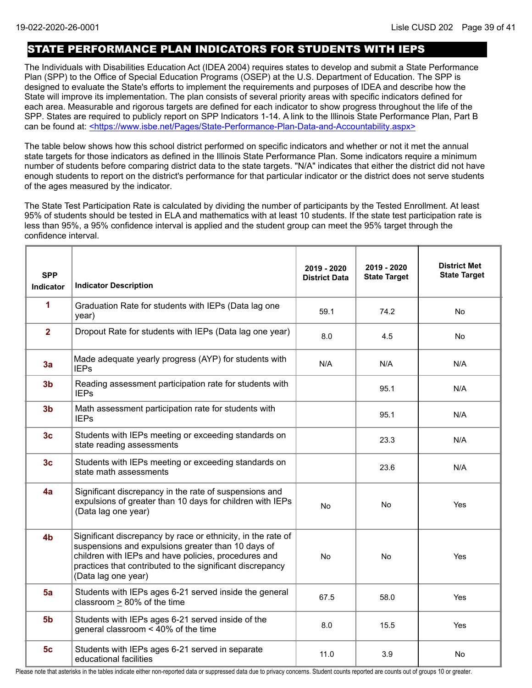## STATE PERFORMANCE PLAN INDICATORS FOR STUDENTS WITH IEPS

The Individuals with Disabilities Education Act (IDEA 2004) requires states to develop and submit a State Performance Plan (SPP) to the Office of Special Education Programs (OSEP) at the U.S. Department of Education. The SPP is designed to evaluate the State's efforts to implement the requirements and purposes of IDEA and describe how the State will improve its implementation. The plan consists of several priority areas with specific indicators defined for each area. Measurable and rigorous targets are defined for each indicator to show progress throughout the life of the SPP. States are required to publicly report on SPP Indicators 1-14. A link to the Illinois State Performance Plan, Part B can be found at: <https://www.isbe.net/Pages/State-Performance-Plan-Data-and-Accountability.aspx>

The table below shows how this school district performed on specific indicators and whether or not it met the annual state targets for those indicators as defined in the Illinois State Performance Plan. Some indicators require a minimum number of students before comparing district data to the state targets. "N/A" indicates that either the district did not have enough students to report on the district's performance for that particular indicator or the district does not serve students of the ages measured by the indicator.

The State Test Participation Rate is calculated by dividing the number of participants by the Tested Enrollment. At least 95% of students should be tested in ELA and mathematics with at least 10 students. If the state test participation rate is less than 95%, a 95% confidence interval is applied and the student group can meet the 95% target through the confidence interval.

| <b>SPP</b><br><b>Indicator</b> | <b>Indicator Description</b>                                                                                                                                                                                                                                   | 2019 - 2020<br><b>District Data</b> | 2019 - 2020<br><b>State Target</b> | <b>District Met</b><br><b>State Target</b> |
|--------------------------------|----------------------------------------------------------------------------------------------------------------------------------------------------------------------------------------------------------------------------------------------------------------|-------------------------------------|------------------------------------|--------------------------------------------|
| 1                              | Graduation Rate for students with IEPs (Data lag one<br>year)                                                                                                                                                                                                  | 59.1                                | 74.2                               | No                                         |
| $\overline{2}$                 | Dropout Rate for students with IEPs (Data lag one year)                                                                                                                                                                                                        | 8.0                                 | 4.5                                | No.                                        |
| 3a                             | Made adequate yearly progress (AYP) for students with<br><b>IEPs</b>                                                                                                                                                                                           | N/A                                 | N/A                                | N/A                                        |
| 3 <sub>b</sub>                 | Reading assessment participation rate for students with<br><b>IEPs</b>                                                                                                                                                                                         |                                     | 95.1                               | N/A                                        |
| 3 <sub>b</sub>                 | Math assessment participation rate for students with<br><b>IEPs</b>                                                                                                                                                                                            |                                     | 95.1                               | N/A                                        |
| 3 <sub>c</sub>                 | Students with IEPs meeting or exceeding standards on<br>state reading assessments                                                                                                                                                                              |                                     | 23.3                               | N/A                                        |
| 3 <sub>c</sub>                 | Students with IEPs meeting or exceeding standards on<br>state math assessments                                                                                                                                                                                 |                                     | 23.6                               | N/A                                        |
| 4a                             | Significant discrepancy in the rate of suspensions and<br>expulsions of greater than 10 days for children with IEPs<br>(Data lag one year)                                                                                                                     | <b>No</b>                           | No.                                | Yes                                        |
| 4 <sub>b</sub>                 | Significant discrepancy by race or ethnicity, in the rate of<br>suspensions and expulsions greater than 10 days of<br>children with IEPs and have policies, procedures and<br>practices that contributed to the significant discrepancy<br>(Data lag one year) | <b>No</b>                           | <b>No</b>                          | Yes                                        |
| 5a                             | Students with IEPs ages 6-21 served inside the general<br>classroom > 80% of the time                                                                                                                                                                          | 67.5                                | 58.0                               | Yes                                        |
| 5 <sub>b</sub>                 | Students with IEPs ages 6-21 served inside of the<br>general classroom < 40% of the time                                                                                                                                                                       | 8.0                                 | 15.5                               | Yes                                        |
| 5 <sub>c</sub>                 | Students with IEPs ages 6-21 served in separate<br>educational facilities                                                                                                                                                                                      | 11.0                                | 3.9                                | No                                         |

Please note that asterisks in the tables indicate either non-reported data or suppressed data due to privacy concerns. Student counts reported are counts out of groups 10 or greater.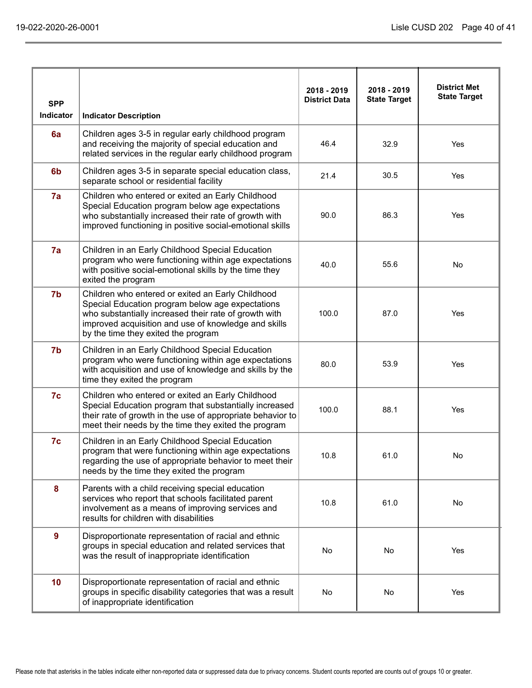| <b>SPP</b><br>Indicator | <b>Indicator Description</b>                                                                                                                                                                                                                                  | 2018 - 2019<br><b>District Data</b> | 2018 - 2019<br><b>State Target</b> | <b>District Met</b><br><b>State Target</b> |
|-------------------------|---------------------------------------------------------------------------------------------------------------------------------------------------------------------------------------------------------------------------------------------------------------|-------------------------------------|------------------------------------|--------------------------------------------|
| 6a                      | Children ages 3-5 in regular early childhood program<br>and receiving the majority of special education and<br>related services in the regular early childhood program                                                                                        | 46.4                                | 32.9                               | Yes                                        |
| 6 <sub>b</sub>          | Children ages 3-5 in separate special education class,<br>separate school or residential facility                                                                                                                                                             | 21.4                                | 30.5                               | Yes                                        |
| 7a                      | Children who entered or exited an Early Childhood<br>Special Education program below age expectations<br>who substantially increased their rate of growth with<br>improved functioning in positive social-emotional skills                                    | 90.0                                | 86.3                               | Yes                                        |
| 7a                      | Children in an Early Childhood Special Education<br>program who were functioning within age expectations<br>with positive social-emotional skills by the time they<br>exited the program                                                                      | 40.0                                | 55.6                               | <b>No</b>                                  |
| 7b                      | Children who entered or exited an Early Childhood<br>Special Education program below age expectations<br>who substantially increased their rate of growth with<br>improved acquisition and use of knowledge and skills<br>by the time they exited the program | 100.0                               | 87.0                               | Yes                                        |
| 7b                      | Children in an Early Childhood Special Education<br>program who were functioning within age expectations<br>with acquisition and use of knowledge and skills by the<br>time they exited the program                                                           | 80.0                                | 53.9                               | Yes                                        |
| 7c                      | Children who entered or exited an Early Childhood<br>Special Education program that substantially increased<br>their rate of growth in the use of appropriate behavior to<br>meet their needs by the time they exited the program                             | 100.0                               | 88.1                               | Yes                                        |
| 7c                      | Children in an Early Childhood Special Education<br>program that were functioning within age expectations<br>regarding the use of appropriate behavior to meet their<br>needs by the time they exited the program                                             | 10.8                                | 61.0                               | No                                         |
| 8                       | Parents with a child receiving special education<br>services who report that schools facilitated parent<br>involvement as a means of improving services and<br>results for children with disabilities                                                         | 10.8                                | 61.0                               | No                                         |
| $\mathbf{9}$            | Disproportionate representation of racial and ethnic<br>groups in special education and related services that<br>was the result of inappropriate identification                                                                                               | No                                  | No                                 | Yes                                        |
| 10 <sub>1</sub>         | Disproportionate representation of racial and ethnic<br>groups in specific disability categories that was a result<br>of inappropriate identification                                                                                                         | No                                  | No                                 | Yes                                        |